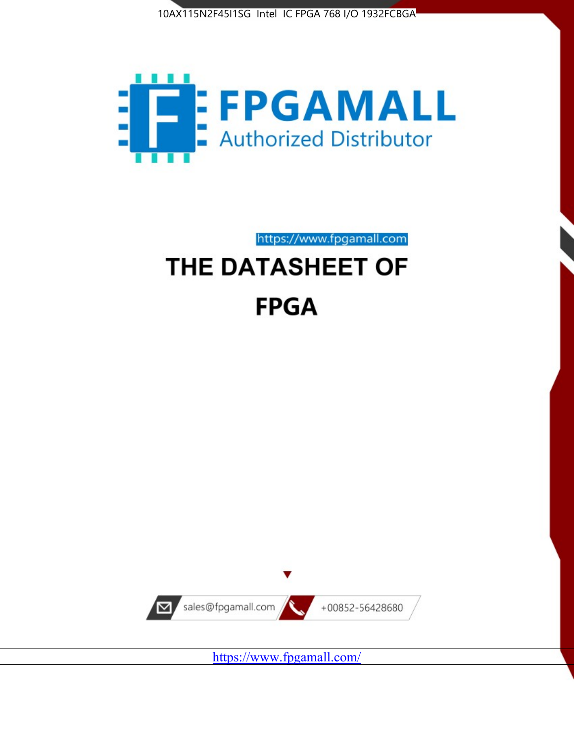



https://www.fpgamall.com

# THE DATASHEET OF **FPGA**



<https://www.fpgamall.com/>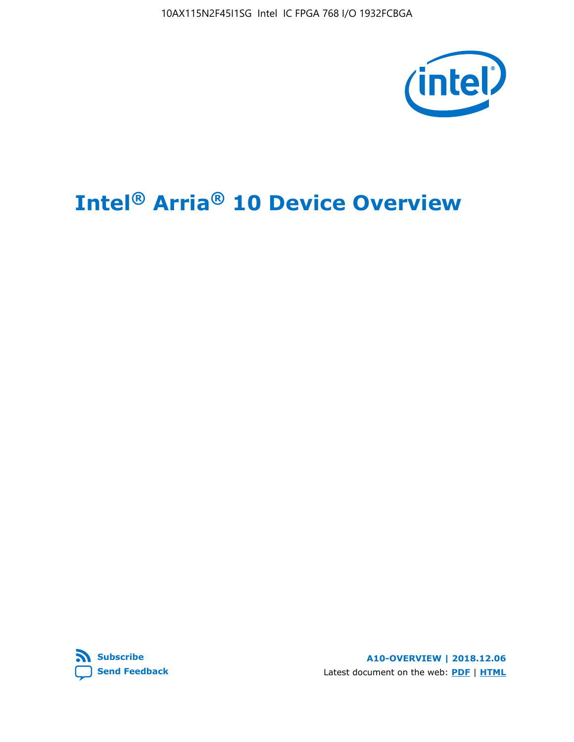10AX115N2F45I1SG Intel IC FPGA 768 I/O 1932FCBGA



# **Intel® Arria® 10 Device Overview**



**A10-OVERVIEW | 2018.12.06** Latest document on the web: **[PDF](https://www.intel.com/content/dam/www/programmable/us/en/pdfs/literature/hb/arria-10/a10_overview.pdf)** | **[HTML](https://www.intel.com/content/www/us/en/programmable/documentation/sam1403480274650.html)**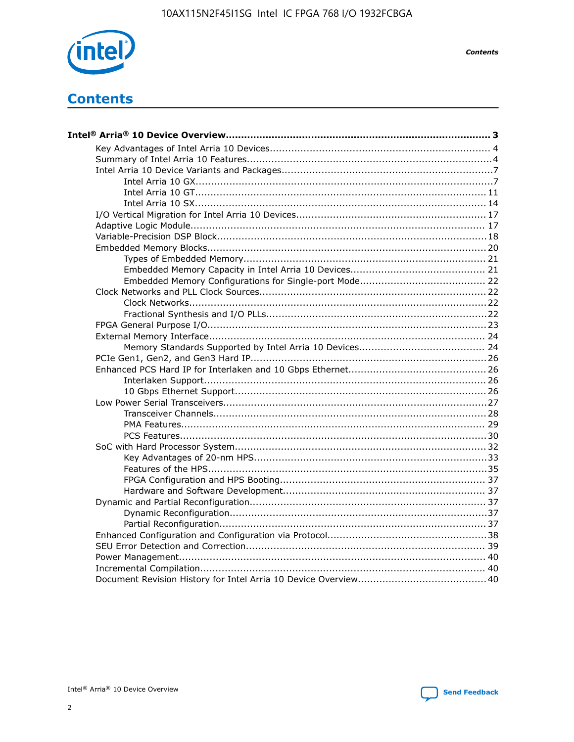

**Contents** 

# **Contents**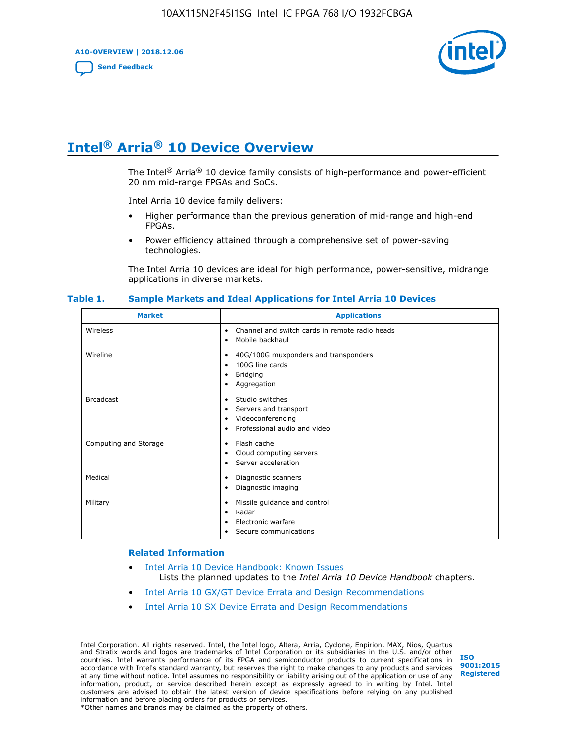**A10-OVERVIEW | 2018.12.06**

**[Send Feedback](mailto:FPGAtechdocfeedback@intel.com?subject=Feedback%20on%20Intel%20Arria%2010%20Device%20Overview%20(A10-OVERVIEW%202018.12.06)&body=We%20appreciate%20your%20feedback.%20In%20your%20comments,%20also%20specify%20the%20page%20number%20or%20paragraph.%20Thank%20you.)**



# **Intel® Arria® 10 Device Overview**

The Intel<sup>®</sup> Arria<sup>®</sup> 10 device family consists of high-performance and power-efficient 20 nm mid-range FPGAs and SoCs.

Intel Arria 10 device family delivers:

- Higher performance than the previous generation of mid-range and high-end FPGAs.
- Power efficiency attained through a comprehensive set of power-saving technologies.

The Intel Arria 10 devices are ideal for high performance, power-sensitive, midrange applications in diverse markets.

| <b>Market</b>         | <b>Applications</b>                                                                                               |
|-----------------------|-------------------------------------------------------------------------------------------------------------------|
| Wireless              | Channel and switch cards in remote radio heads<br>٠<br>Mobile backhaul<br>٠                                       |
| Wireline              | 40G/100G muxponders and transponders<br>٠<br>100G line cards<br>٠<br><b>Bridging</b><br>٠<br>Aggregation<br>٠     |
| <b>Broadcast</b>      | Studio switches<br>٠<br>Servers and transport<br>٠<br>Videoconferencing<br>٠<br>Professional audio and video<br>٠ |
| Computing and Storage | Flash cache<br>٠<br>Cloud computing servers<br>٠<br>Server acceleration<br>٠                                      |
| Medical               | Diagnostic scanners<br>٠<br>Diagnostic imaging<br>٠                                                               |
| Military              | Missile guidance and control<br>٠<br>Radar<br>٠<br>Electronic warfare<br>٠<br>Secure communications<br>٠          |

#### **Table 1. Sample Markets and Ideal Applications for Intel Arria 10 Devices**

#### **Related Information**

- [Intel Arria 10 Device Handbook: Known Issues](http://www.altera.com/support/kdb/solutions/rd07302013_646.html) Lists the planned updates to the *Intel Arria 10 Device Handbook* chapters.
- [Intel Arria 10 GX/GT Device Errata and Design Recommendations](https://www.intel.com/content/www/us/en/programmable/documentation/agz1493851706374.html#yqz1494433888646)
- [Intel Arria 10 SX Device Errata and Design Recommendations](https://www.intel.com/content/www/us/en/programmable/documentation/cru1462832385668.html#cru1462832558642)

Intel Corporation. All rights reserved. Intel, the Intel logo, Altera, Arria, Cyclone, Enpirion, MAX, Nios, Quartus and Stratix words and logos are trademarks of Intel Corporation or its subsidiaries in the U.S. and/or other countries. Intel warrants performance of its FPGA and semiconductor products to current specifications in accordance with Intel's standard warranty, but reserves the right to make changes to any products and services at any time without notice. Intel assumes no responsibility or liability arising out of the application or use of any information, product, or service described herein except as expressly agreed to in writing by Intel. Intel customers are advised to obtain the latest version of device specifications before relying on any published information and before placing orders for products or services. \*Other names and brands may be claimed as the property of others.

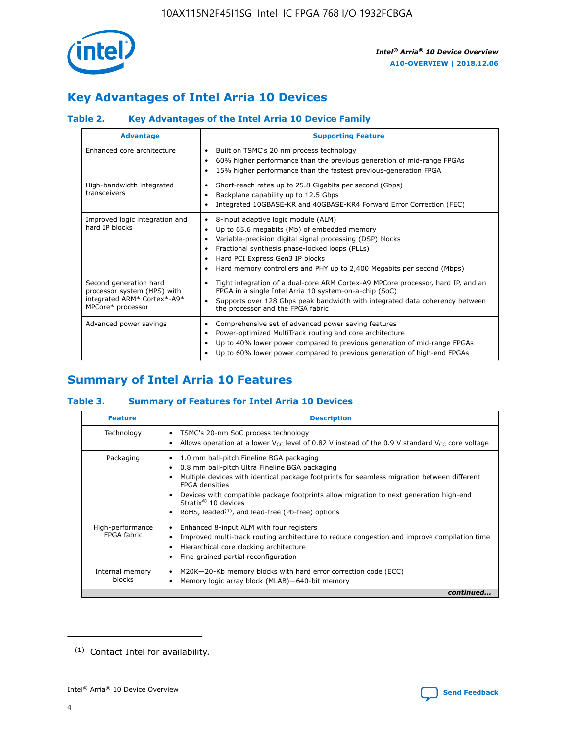

# **Key Advantages of Intel Arria 10 Devices**

## **Table 2. Key Advantages of the Intel Arria 10 Device Family**

| <b>Advantage</b>                                                                                          | <b>Supporting Feature</b>                                                                                                                                                                                                                                                                                                |  |  |  |  |  |  |
|-----------------------------------------------------------------------------------------------------------|--------------------------------------------------------------------------------------------------------------------------------------------------------------------------------------------------------------------------------------------------------------------------------------------------------------------------|--|--|--|--|--|--|
| Enhanced core architecture                                                                                | Built on TSMC's 20 nm process technology<br>٠<br>60% higher performance than the previous generation of mid-range FPGAs<br>٠<br>15% higher performance than the fastest previous-generation FPGA<br>٠                                                                                                                    |  |  |  |  |  |  |
| High-bandwidth integrated<br>transceivers                                                                 | Short-reach rates up to 25.8 Gigabits per second (Gbps)<br>٠<br>Backplane capability up to 12.5 Gbps<br>٠<br>Integrated 10GBASE-KR and 40GBASE-KR4 Forward Error Correction (FEC)<br>٠                                                                                                                                   |  |  |  |  |  |  |
| Improved logic integration and<br>hard IP blocks                                                          | 8-input adaptive logic module (ALM)<br>٠<br>Up to 65.6 megabits (Mb) of embedded memory<br>٠<br>Variable-precision digital signal processing (DSP) blocks<br>Fractional synthesis phase-locked loops (PLLs)<br>Hard PCI Express Gen3 IP blocks<br>Hard memory controllers and PHY up to 2,400 Megabits per second (Mbps) |  |  |  |  |  |  |
| Second generation hard<br>processor system (HPS) with<br>integrated ARM* Cortex*-A9*<br>MPCore* processor | Tight integration of a dual-core ARM Cortex-A9 MPCore processor, hard IP, and an<br>٠<br>FPGA in a single Intel Arria 10 system-on-a-chip (SoC)<br>Supports over 128 Gbps peak bandwidth with integrated data coherency between<br>$\bullet$<br>the processor and the FPGA fabric                                        |  |  |  |  |  |  |
| Advanced power savings                                                                                    | Comprehensive set of advanced power saving features<br>٠<br>Power-optimized MultiTrack routing and core architecture<br>٠<br>Up to 40% lower power compared to previous generation of mid-range FPGAs<br>Up to 60% lower power compared to previous generation of high-end FPGAs                                         |  |  |  |  |  |  |

# **Summary of Intel Arria 10 Features**

## **Table 3. Summary of Features for Intel Arria 10 Devices**

| <b>Feature</b>                  | <b>Description</b>                                                                                                                                                                                                                                                                                                                                                                                       |
|---------------------------------|----------------------------------------------------------------------------------------------------------------------------------------------------------------------------------------------------------------------------------------------------------------------------------------------------------------------------------------------------------------------------------------------------------|
| Technology                      | TSMC's 20-nm SoC process technology<br>٠<br>Allows operation at a lower $V_{\text{CC}}$ level of 0.82 V instead of the 0.9 V standard $V_{\text{CC}}$ core voltage                                                                                                                                                                                                                                       |
| Packaging                       | 1.0 mm ball-pitch Fineline BGA packaging<br>0.8 mm ball-pitch Ultra Fineline BGA packaging<br>Multiple devices with identical package footprints for seamless migration between different<br><b>FPGA</b> densities<br>Devices with compatible package footprints allow migration to next generation high-end<br>Stratix $\mathcal{R}$ 10 devices<br>RoHS, leaded $(1)$ , and lead-free (Pb-free) options |
| High-performance<br>FPGA fabric | Enhanced 8-input ALM with four registers<br>٠<br>Improved multi-track routing architecture to reduce congestion and improve compilation time<br>Hierarchical core clocking architecture<br>Fine-grained partial reconfiguration                                                                                                                                                                          |
| Internal memory<br>blocks       | M20K-20-Kb memory blocks with hard error correction code (ECC)<br>Memory logic array block (MLAB)-640-bit memory                                                                                                                                                                                                                                                                                         |
|                                 | continued                                                                                                                                                                                                                                                                                                                                                                                                |



<sup>(1)</sup> Contact Intel for availability.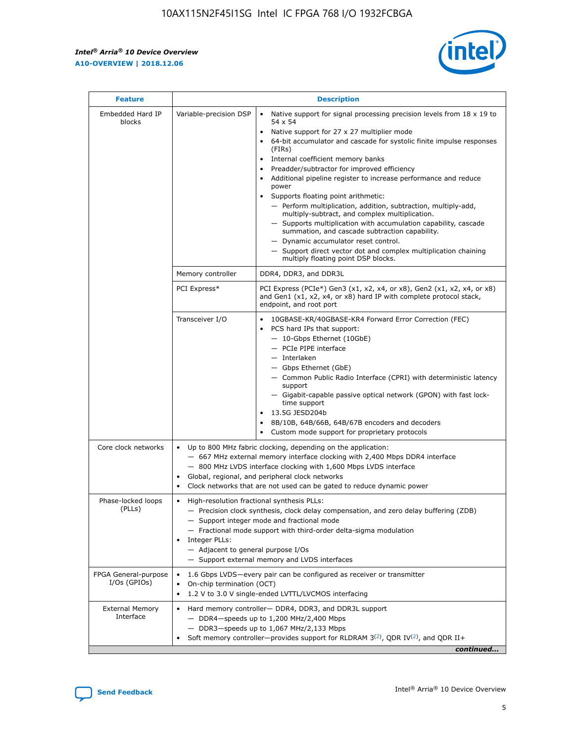r



| <b>Feature</b>                         | <b>Description</b>                                                                                             |                                                                                                                                                                                                                                                                                                                                                                                                                                                                                                                                                                                                                                                                                                                                                                                                                                                                  |  |  |  |  |  |
|----------------------------------------|----------------------------------------------------------------------------------------------------------------|------------------------------------------------------------------------------------------------------------------------------------------------------------------------------------------------------------------------------------------------------------------------------------------------------------------------------------------------------------------------------------------------------------------------------------------------------------------------------------------------------------------------------------------------------------------------------------------------------------------------------------------------------------------------------------------------------------------------------------------------------------------------------------------------------------------------------------------------------------------|--|--|--|--|--|
| Embedded Hard IP<br>blocks             | Variable-precision DSP                                                                                         | Native support for signal processing precision levels from $18 \times 19$ to<br>$\bullet$<br>54 x 54<br>Native support for 27 x 27 multiplier mode<br>$\bullet$<br>64-bit accumulator and cascade for systolic finite impulse responses<br>(FIRs)<br>Internal coefficient memory banks<br>$\bullet$<br>Preadder/subtractor for improved efficiency<br>Additional pipeline register to increase performance and reduce<br>power<br>Supports floating point arithmetic:<br>- Perform multiplication, addition, subtraction, multiply-add,<br>multiply-subtract, and complex multiplication.<br>- Supports multiplication with accumulation capability, cascade<br>summation, and cascade subtraction capability.<br>- Dynamic accumulator reset control.<br>- Support direct vector dot and complex multiplication chaining<br>multiply floating point DSP blocks. |  |  |  |  |  |
|                                        | Memory controller                                                                                              | DDR4, DDR3, and DDR3L                                                                                                                                                                                                                                                                                                                                                                                                                                                                                                                                                                                                                                                                                                                                                                                                                                            |  |  |  |  |  |
|                                        | PCI Express*                                                                                                   | PCI Express (PCIe*) Gen3 (x1, x2, x4, or x8), Gen2 (x1, x2, x4, or x8)<br>and Gen1 (x1, x2, x4, or x8) hard IP with complete protocol stack,<br>endpoint, and root port                                                                                                                                                                                                                                                                                                                                                                                                                                                                                                                                                                                                                                                                                          |  |  |  |  |  |
|                                        | Transceiver I/O                                                                                                | 10GBASE-KR/40GBASE-KR4 Forward Error Correction (FEC)<br>PCS hard IPs that support:<br>- 10-Gbps Ethernet (10GbE)<br>- PCIe PIPE interface<br>- Interlaken<br>- Gbps Ethernet (GbE)<br>- Common Public Radio Interface (CPRI) with deterministic latency<br>support<br>- Gigabit-capable passive optical network (GPON) with fast lock-<br>time support<br>13.5G JESD204b<br>$\bullet$<br>8B/10B, 64B/66B, 64B/67B encoders and decoders<br>Custom mode support for proprietary protocols                                                                                                                                                                                                                                                                                                                                                                        |  |  |  |  |  |
| Core clock networks                    | $\bullet$                                                                                                      | Up to 800 MHz fabric clocking, depending on the application:<br>- 667 MHz external memory interface clocking with 2,400 Mbps DDR4 interface<br>- 800 MHz LVDS interface clocking with 1,600 Mbps LVDS interface<br>Global, regional, and peripheral clock networks<br>Clock networks that are not used can be gated to reduce dynamic power                                                                                                                                                                                                                                                                                                                                                                                                                                                                                                                      |  |  |  |  |  |
| Phase-locked loops<br>(PLLs)           | High-resolution fractional synthesis PLLs:<br>$\bullet$<br>Integer PLLs:<br>- Adjacent to general purpose I/Os | - Precision clock synthesis, clock delay compensation, and zero delay buffering (ZDB)<br>- Support integer mode and fractional mode<br>- Fractional mode support with third-order delta-sigma modulation<br>- Support external memory and LVDS interfaces                                                                                                                                                                                                                                                                                                                                                                                                                                                                                                                                                                                                        |  |  |  |  |  |
| FPGA General-purpose<br>$I/Os$ (GPIOs) | On-chip termination (OCT)<br>٠<br>$\bullet$                                                                    | 1.6 Gbps LVDS-every pair can be configured as receiver or transmitter<br>1.2 V to 3.0 V single-ended LVTTL/LVCMOS interfacing                                                                                                                                                                                                                                                                                                                                                                                                                                                                                                                                                                                                                                                                                                                                    |  |  |  |  |  |
| <b>External Memory</b><br>Interface    | $\bullet$                                                                                                      | Hard memory controller- DDR4, DDR3, and DDR3L support<br>$-$ DDR4-speeds up to 1,200 MHz/2,400 Mbps<br>- DDR3-speeds up to 1,067 MHz/2,133 Mbps<br>Soft memory controller—provides support for RLDRAM $3^{(2)}$ , QDR IV $^{(2)}$ , and QDR II+<br>continued                                                                                                                                                                                                                                                                                                                                                                                                                                                                                                                                                                                                     |  |  |  |  |  |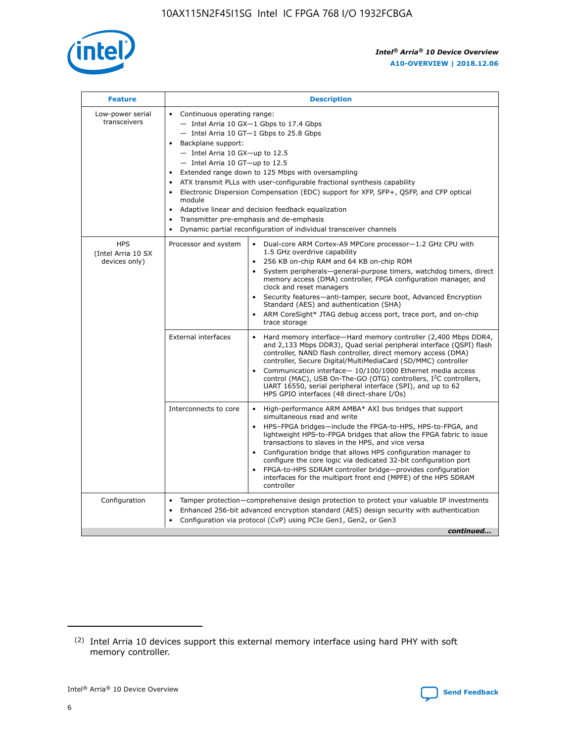

| <b>Feature</b>                                    | <b>Description</b>                                                                                                                                                                                                                                                                                                                                                                                                                                                                                                                                                                                                                         |
|---------------------------------------------------|--------------------------------------------------------------------------------------------------------------------------------------------------------------------------------------------------------------------------------------------------------------------------------------------------------------------------------------------------------------------------------------------------------------------------------------------------------------------------------------------------------------------------------------------------------------------------------------------------------------------------------------------|
| Low-power serial<br>transceivers                  | • Continuous operating range:<br>- Intel Arria 10 GX-1 Gbps to 17.4 Gbps<br>- Intel Arria 10 GT-1 Gbps to 25.8 Gbps<br>Backplane support:<br>$-$ Intel Arria 10 GX-up to 12.5<br>- Intel Arria 10 GT-up to 12.5<br>Extended range down to 125 Mbps with oversampling<br>ATX transmit PLLs with user-configurable fractional synthesis capability<br>Electronic Dispersion Compensation (EDC) support for XFP, SFP+, QSFP, and CFP optical<br>module<br>• Adaptive linear and decision feedback equalization<br>Transmitter pre-emphasis and de-emphasis<br>$\bullet$<br>Dynamic partial reconfiguration of individual transceiver channels |
| <b>HPS</b><br>(Intel Arria 10 SX<br>devices only) | Dual-core ARM Cortex-A9 MPCore processor-1.2 GHz CPU with<br>Processor and system<br>$\bullet$<br>1.5 GHz overdrive capability<br>256 KB on-chip RAM and 64 KB on-chip ROM<br>System peripherals-general-purpose timers, watchdog timers, direct<br>memory access (DMA) controller, FPGA configuration manager, and<br>clock and reset managers<br>Security features-anti-tamper, secure boot, Advanced Encryption<br>$\bullet$<br>Standard (AES) and authentication (SHA)<br>ARM CoreSight* JTAG debug access port, trace port, and on-chip<br>trace storage                                                                              |
|                                                   | <b>External interfaces</b><br>Hard memory interface-Hard memory controller (2,400 Mbps DDR4,<br>$\bullet$<br>and 2,133 Mbps DDR3), Quad serial peripheral interface (QSPI) flash<br>controller, NAND flash controller, direct memory access (DMA)<br>controller, Secure Digital/MultiMediaCard (SD/MMC) controller<br>Communication interface-10/100/1000 Ethernet media access<br>$\bullet$<br>control (MAC), USB On-The-GO (OTG) controllers, I <sup>2</sup> C controllers,<br>UART 16550, serial peripheral interface (SPI), and up to 62<br>HPS GPIO interfaces (48 direct-share I/Os)                                                 |
|                                                   | High-performance ARM AMBA* AXI bus bridges that support<br>Interconnects to core<br>$\bullet$<br>simultaneous read and write<br>HPS-FPGA bridges-include the FPGA-to-HPS, HPS-to-FPGA, and<br>$\bullet$<br>lightweight HPS-to-FPGA bridges that allow the FPGA fabric to issue<br>transactions to slaves in the HPS, and vice versa<br>Configuration bridge that allows HPS configuration manager to<br>configure the core logic via dedicated 32-bit configuration port<br>FPGA-to-HPS SDRAM controller bridge-provides configuration<br>interfaces for the multiport front end (MPFE) of the HPS SDRAM<br>controller                     |
| Configuration                                     | Tamper protection—comprehensive design protection to protect your valuable IP investments<br>Enhanced 256-bit advanced encryption standard (AES) design security with authentication<br>٠<br>Configuration via protocol (CvP) using PCIe Gen1, Gen2, or Gen3<br>continued                                                                                                                                                                                                                                                                                                                                                                  |

<sup>(2)</sup> Intel Arria 10 devices support this external memory interface using hard PHY with soft memory controller.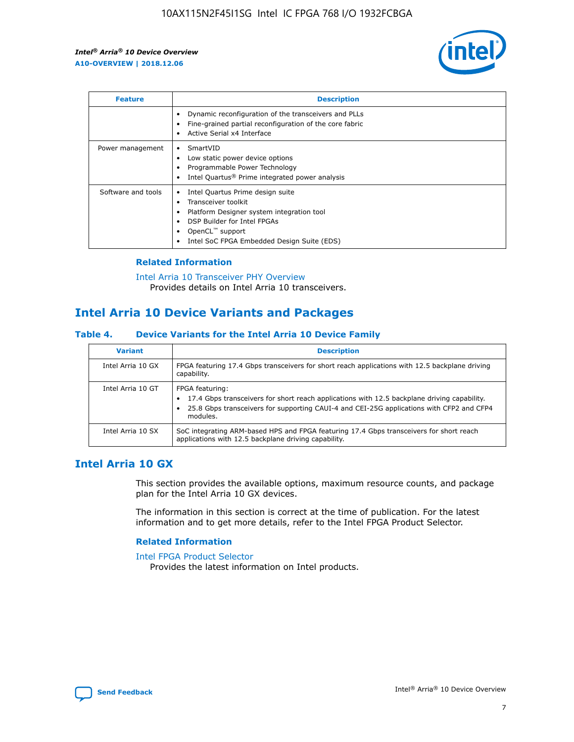

| <b>Feature</b>     | <b>Description</b>                                                                                                                                                                                               |
|--------------------|------------------------------------------------------------------------------------------------------------------------------------------------------------------------------------------------------------------|
|                    | Dynamic reconfiguration of the transceivers and PLLs<br>Fine-grained partial reconfiguration of the core fabric<br>Active Serial x4 Interface<br>٠                                                               |
| Power management   | SmartVID<br>Low static power device options<br>Programmable Power Technology<br>Intel Quartus <sup>®</sup> Prime integrated power analysis                                                                       |
| Software and tools | Intel Quartus Prime design suite<br>Transceiver toolkit<br>Platform Designer system integration tool<br>DSP Builder for Intel FPGAs<br>OpenCL <sup>"</sup> support<br>Intel SoC FPGA Embedded Design Suite (EDS) |

## **Related Information**

[Intel Arria 10 Transceiver PHY Overview](https://www.intel.com/content/www/us/en/programmable/documentation/nik1398707230472.html#nik1398706768037) Provides details on Intel Arria 10 transceivers.

# **Intel Arria 10 Device Variants and Packages**

#### **Table 4. Device Variants for the Intel Arria 10 Device Family**

| <b>Variant</b>    | <b>Description</b>                                                                                                                                                                                                     |
|-------------------|------------------------------------------------------------------------------------------------------------------------------------------------------------------------------------------------------------------------|
| Intel Arria 10 GX | FPGA featuring 17.4 Gbps transceivers for short reach applications with 12.5 backplane driving<br>capability.                                                                                                          |
| Intel Arria 10 GT | FPGA featuring:<br>17.4 Gbps transceivers for short reach applications with 12.5 backplane driving capability.<br>25.8 Gbps transceivers for supporting CAUI-4 and CEI-25G applications with CFP2 and CFP4<br>modules. |
| Intel Arria 10 SX | SoC integrating ARM-based HPS and FPGA featuring 17.4 Gbps transceivers for short reach<br>applications with 12.5 backplane driving capability.                                                                        |

## **Intel Arria 10 GX**

This section provides the available options, maximum resource counts, and package plan for the Intel Arria 10 GX devices.

The information in this section is correct at the time of publication. For the latest information and to get more details, refer to the Intel FPGA Product Selector.

#### **Related Information**

#### [Intel FPGA Product Selector](http://www.altera.com/products/selector/psg-selector.html) Provides the latest information on Intel products.

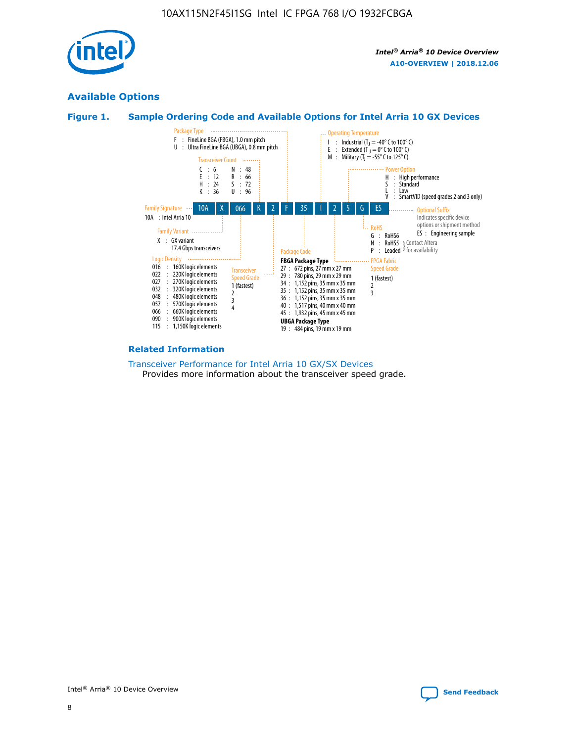

## **Available Options**





#### **Related Information**

[Transceiver Performance for Intel Arria 10 GX/SX Devices](https://www.intel.com/content/www/us/en/programmable/documentation/mcn1413182292568.html#mcn1413213965502) Provides more information about the transceiver speed grade.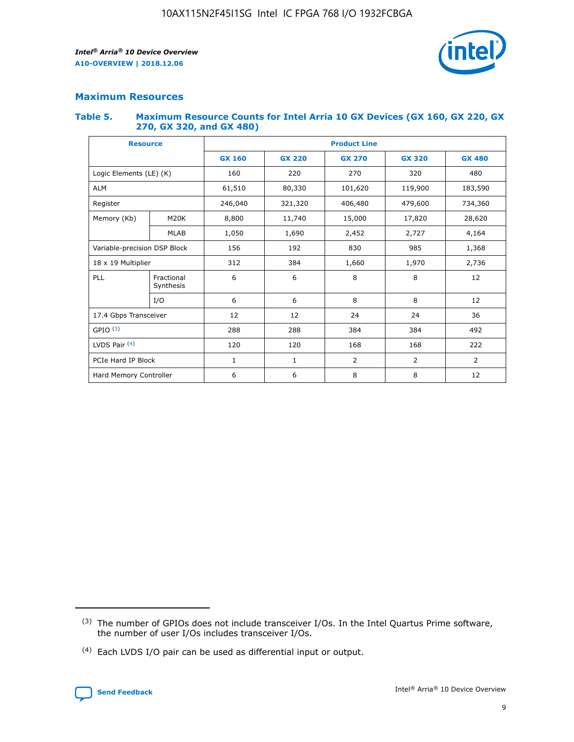

## **Maximum Resources**

#### **Table 5. Maximum Resource Counts for Intel Arria 10 GX Devices (GX 160, GX 220, GX 270, GX 320, and GX 480)**

| <b>Resource</b>         |                                                          | <b>Product Line</b> |                                                 |            |                |                |  |  |  |
|-------------------------|----------------------------------------------------------|---------------------|-------------------------------------------------|------------|----------------|----------------|--|--|--|
|                         |                                                          | <b>GX 160</b>       | <b>GX 220</b><br><b>GX 270</b><br><b>GX 320</b> |            |                | <b>GX 480</b>  |  |  |  |
| Logic Elements (LE) (K) |                                                          | 160                 | 220                                             | 270        | 320            | 480            |  |  |  |
| <b>ALM</b>              |                                                          | 61,510              | 80,330                                          | 101,620    | 119,900        | 183,590        |  |  |  |
| Register                |                                                          | 246,040             | 321,320                                         | 406,480    | 479,600        | 734,360        |  |  |  |
| Memory (Kb)             | M <sub>20</sub> K                                        | 8,800               | 11,740                                          | 15,000     | 17,820         | 28,620         |  |  |  |
| <b>MLAB</b>             |                                                          | 1,050               | 1,690                                           | 2,452      | 2,727          | 4,164          |  |  |  |
|                         | Variable-precision DSP Block<br>156<br>192<br>830<br>985 |                     |                                                 |            | 1,368          |                |  |  |  |
| 18 x 19 Multiplier      |                                                          | 312                 | 384                                             | 1,660      | 1,970          | 2,736          |  |  |  |
| PLL                     | Fractional<br>Synthesis                                  | 6                   | 6                                               | 8          | 8              | 12             |  |  |  |
|                         | I/O                                                      | 6                   | 6                                               | 8          | 8              | 12             |  |  |  |
| 17.4 Gbps Transceiver   |                                                          | 12                  | 12                                              | 24         | 24             |                |  |  |  |
| GPIO <sup>(3)</sup>     |                                                          | 288                 | 288                                             | 384<br>384 |                | 492            |  |  |  |
| LVDS Pair $(4)$         |                                                          | 120                 | 120                                             | 168        | 168            | 222            |  |  |  |
| PCIe Hard IP Block      |                                                          | 1                   | 1                                               | 2          | $\overline{2}$ | $\overline{2}$ |  |  |  |
| Hard Memory Controller  |                                                          | 6                   | 6                                               | 8          | 8              | 12             |  |  |  |

<sup>(4)</sup> Each LVDS I/O pair can be used as differential input or output.



<sup>(3)</sup> The number of GPIOs does not include transceiver I/Os. In the Intel Quartus Prime software, the number of user I/Os includes transceiver I/Os.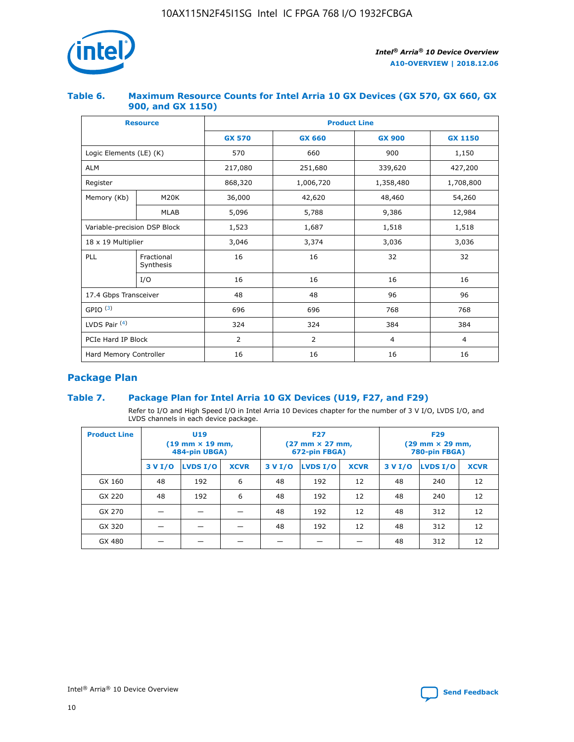

## **Table 6. Maximum Resource Counts for Intel Arria 10 GX Devices (GX 570, GX 660, GX 900, and GX 1150)**

|                              | <b>Resource</b>         | <b>Product Line</b> |                                |                  |                |  |  |  |
|------------------------------|-------------------------|---------------------|--------------------------------|------------------|----------------|--|--|--|
|                              |                         | <b>GX 570</b>       | <b>GX 660</b><br><b>GX 900</b> |                  | <b>GX 1150</b> |  |  |  |
| Logic Elements (LE) (K)      |                         | 570                 | 660                            | 900              | 1,150          |  |  |  |
| <b>ALM</b>                   |                         | 217,080             | 251,680                        | 339,620          | 427,200        |  |  |  |
| Register                     |                         | 868,320             | 1,006,720                      | 1,358,480        | 1,708,800      |  |  |  |
| Memory (Kb)                  | <b>M20K</b>             | 36,000              | 42,620                         | 48,460<br>54,260 |                |  |  |  |
|                              | <b>MLAB</b>             | 5,096               | 5,788                          |                  | 12,984         |  |  |  |
| Variable-precision DSP Block |                         | 1,523               | 1,687                          | 1,518            | 1,518          |  |  |  |
| $18 \times 19$ Multiplier    |                         | 3,046               | 3,374                          | 3,036            | 3,036          |  |  |  |
| PLL                          | Fractional<br>Synthesis | 16                  | 16                             | 32               | 32             |  |  |  |
|                              | I/O                     | 16                  | 16                             | 16               | 16             |  |  |  |
| 17.4 Gbps Transceiver        |                         | 48                  | 48<br>96                       |                  | 96             |  |  |  |
| GPIO <sup>(3)</sup>          |                         | 696                 | 696                            | 768              | 768            |  |  |  |
| LVDS Pair $(4)$              |                         | 324                 | 324                            |                  | 384            |  |  |  |
| PCIe Hard IP Block           |                         | 2                   | $\overline{2}$                 | $\overline{4}$   | 4              |  |  |  |
| Hard Memory Controller       |                         | 16                  | 16                             | 16               | 16             |  |  |  |

## **Package Plan**

## **Table 7. Package Plan for Intel Arria 10 GX Devices (U19, F27, and F29)**

Refer to I/O and High Speed I/O in Intel Arria 10 Devices chapter for the number of 3 V I/O, LVDS I/O, and LVDS channels in each device package.

| <b>Product Line</b> | U <sub>19</sub><br>$(19 \text{ mm} \times 19 \text{ mm})$<br>484-pin UBGA) |          |             |         | <b>F27</b><br>(27 mm × 27 mm,<br>672-pin FBGA) |             | <b>F29</b><br>(29 mm × 29 mm,<br>780-pin FBGA) |          |             |  |
|---------------------|----------------------------------------------------------------------------|----------|-------------|---------|------------------------------------------------|-------------|------------------------------------------------|----------|-------------|--|
|                     | 3 V I/O                                                                    | LVDS I/O | <b>XCVR</b> | 3 V I/O | LVDS I/O                                       | <b>XCVR</b> | 3 V I/O                                        | LVDS I/O | <b>XCVR</b> |  |
| GX 160              | 48                                                                         | 192      | 6           | 48      | 192                                            | 12          | 48                                             | 240      | 12          |  |
| GX 220              | 48                                                                         | 192      | 6           | 48      | 192                                            | 12          | 48                                             | 240      | 12          |  |
| GX 270              |                                                                            |          |             | 48      | 192                                            | 12          | 48                                             | 312      | 12          |  |
| GX 320              |                                                                            |          |             | 48      | 192                                            | 12          | 48                                             | 312      | 12          |  |
| GX 480              |                                                                            |          |             |         |                                                |             | 48                                             | 312      | 12          |  |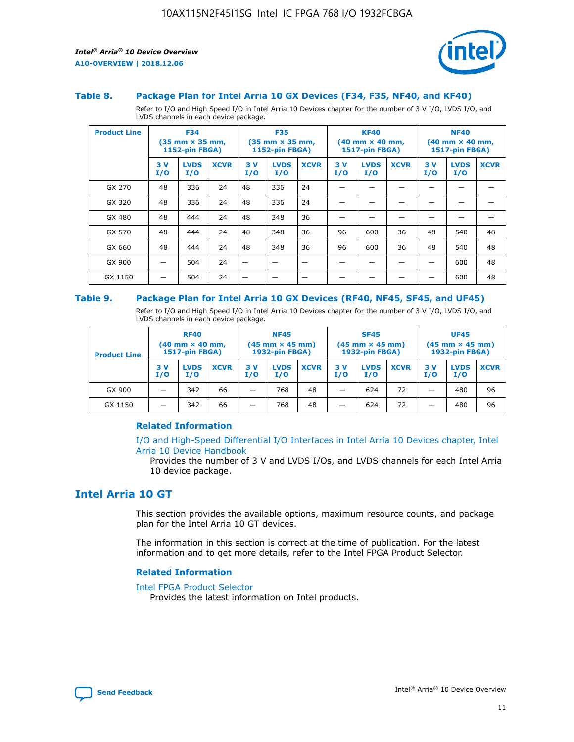

#### **Table 8. Package Plan for Intel Arria 10 GX Devices (F34, F35, NF40, and KF40)**

Refer to I/O and High Speed I/O in Intel Arria 10 Devices chapter for the number of 3 V I/O, LVDS I/O, and LVDS channels in each device package.

| <b>Product Line</b> | <b>F34</b><br>$(35 \text{ mm} \times 35 \text{ mm})$<br>1152-pin FBGA) |                    | <b>F35</b><br>$(35 \text{ mm} \times 35 \text{ mm})$<br><b>1152-pin FBGA)</b> |           | <b>KF40</b><br>$(40$ mm $\times$ 40 mm,<br>1517-pin FBGA) |             |           | <b>NF40</b><br>$(40$ mm $\times$ 40 mm,<br><b>1517-pin FBGA)</b> |             |            |                    |             |
|---------------------|------------------------------------------------------------------------|--------------------|-------------------------------------------------------------------------------|-----------|-----------------------------------------------------------|-------------|-----------|------------------------------------------------------------------|-------------|------------|--------------------|-------------|
|                     | 3V<br>I/O                                                              | <b>LVDS</b><br>I/O | <b>XCVR</b>                                                                   | 3V<br>I/O | <b>LVDS</b><br>I/O                                        | <b>XCVR</b> | 3V<br>I/O | <b>LVDS</b><br>I/O                                               | <b>XCVR</b> | 3 V<br>I/O | <b>LVDS</b><br>I/O | <b>XCVR</b> |
| GX 270              | 48                                                                     | 336                | 24                                                                            | 48        | 336                                                       | 24          |           |                                                                  |             |            |                    |             |
| GX 320              | 48                                                                     | 336                | 24                                                                            | 48        | 336                                                       | 24          |           |                                                                  |             |            |                    |             |
| GX 480              | 48                                                                     | 444                | 24                                                                            | 48        | 348                                                       | 36          |           |                                                                  |             |            |                    |             |
| GX 570              | 48                                                                     | 444                | 24                                                                            | 48        | 348                                                       | 36          | 96        | 600                                                              | 36          | 48         | 540                | 48          |
| GX 660              | 48                                                                     | 444                | 24                                                                            | 48        | 348                                                       | 36          | 96        | 600                                                              | 36          | 48         | 540                | 48          |
| GX 900              |                                                                        | 504                | 24                                                                            | -         |                                                           |             |           |                                                                  |             |            | 600                | 48          |
| GX 1150             |                                                                        | 504                | 24                                                                            |           |                                                           |             |           |                                                                  |             |            | 600                | 48          |

#### **Table 9. Package Plan for Intel Arria 10 GX Devices (RF40, NF45, SF45, and UF45)**

Refer to I/O and High Speed I/O in Intel Arria 10 Devices chapter for the number of 3 V I/O, LVDS I/O, and LVDS channels in each device package.

| <b>Product Line</b> | <b>RF40</b><br>$(40$ mm $\times$ 40 mm,<br>1517-pin FBGA) |                    |             | <b>NF45</b><br>$(45 \text{ mm} \times 45 \text{ mm})$<br><b>1932-pin FBGA)</b> |                    |             | <b>SF45</b><br>$(45 \text{ mm} \times 45 \text{ mm})$<br><b>1932-pin FBGA)</b> |                    |             | <b>UF45</b><br>$(45 \text{ mm} \times 45 \text{ mm})$<br><b>1932-pin FBGA)</b> |                    |             |
|---------------------|-----------------------------------------------------------|--------------------|-------------|--------------------------------------------------------------------------------|--------------------|-------------|--------------------------------------------------------------------------------|--------------------|-------------|--------------------------------------------------------------------------------|--------------------|-------------|
|                     | 3V<br>I/O                                                 | <b>LVDS</b><br>I/O | <b>XCVR</b> | 3 V<br>I/O                                                                     | <b>LVDS</b><br>I/O | <b>XCVR</b> | 3 V<br>I/O                                                                     | <b>LVDS</b><br>I/O | <b>XCVR</b> | 3V<br>I/O                                                                      | <b>LVDS</b><br>I/O | <b>XCVR</b> |
| GX 900              |                                                           | 342                | 66          | _                                                                              | 768                | 48          |                                                                                | 624                | 72          |                                                                                | 480                | 96          |
| GX 1150             |                                                           | 342                | 66          | _                                                                              | 768                | 48          |                                                                                | 624                | 72          |                                                                                | 480                | 96          |

#### **Related Information**

[I/O and High-Speed Differential I/O Interfaces in Intel Arria 10 Devices chapter, Intel](https://www.intel.com/content/www/us/en/programmable/documentation/sam1403482614086.html#sam1403482030321) [Arria 10 Device Handbook](https://www.intel.com/content/www/us/en/programmable/documentation/sam1403482614086.html#sam1403482030321)

Provides the number of 3 V and LVDS I/Os, and LVDS channels for each Intel Arria 10 device package.

## **Intel Arria 10 GT**

This section provides the available options, maximum resource counts, and package plan for the Intel Arria 10 GT devices.

The information in this section is correct at the time of publication. For the latest information and to get more details, refer to the Intel FPGA Product Selector.

#### **Related Information**

#### [Intel FPGA Product Selector](http://www.altera.com/products/selector/psg-selector.html)

Provides the latest information on Intel products.

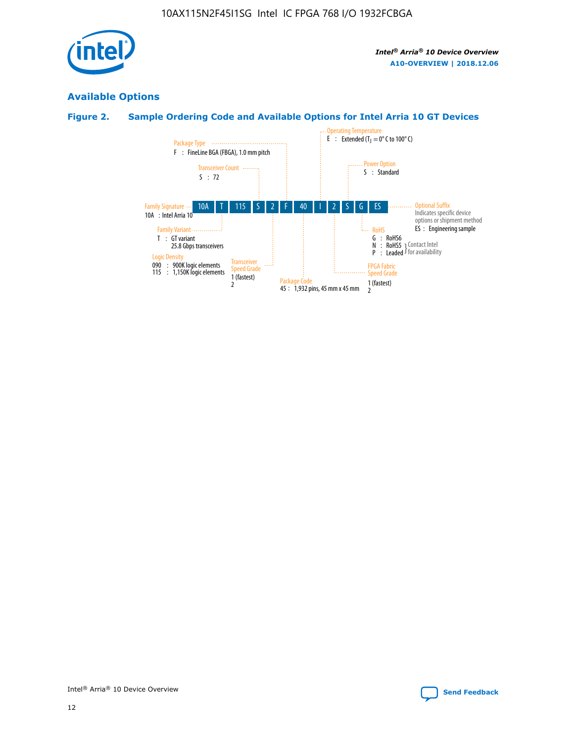

## **Available Options**

## **Figure 2. Sample Ordering Code and Available Options for Intel Arria 10 GT Devices**

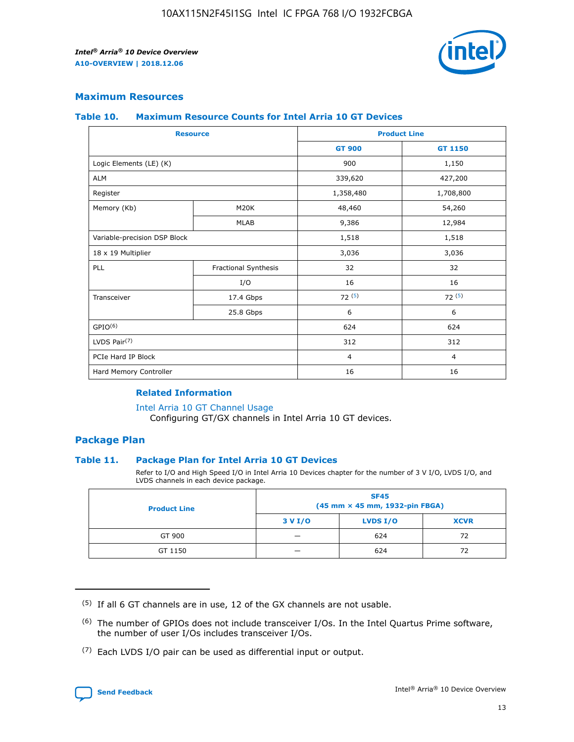

## **Maximum Resources**

#### **Table 10. Maximum Resource Counts for Intel Arria 10 GT Devices**

| <b>Resource</b>              |                      |                | <b>Product Line</b> |  |
|------------------------------|----------------------|----------------|---------------------|--|
|                              |                      | <b>GT 900</b>  | GT 1150             |  |
| Logic Elements (LE) (K)      |                      | 900            | 1,150               |  |
| <b>ALM</b>                   |                      | 339,620        | 427,200             |  |
| Register                     |                      | 1,358,480      | 1,708,800           |  |
| Memory (Kb)                  | M <sub>20</sub> K    | 48,460         | 54,260              |  |
|                              | <b>MLAB</b>          | 9,386          | 12,984              |  |
| Variable-precision DSP Block |                      | 1,518          | 1,518               |  |
| 18 x 19 Multiplier           |                      | 3,036          | 3,036               |  |
| PLL                          | Fractional Synthesis | 32             | 32                  |  |
|                              | I/O                  | 16             | 16                  |  |
| Transceiver                  | 17.4 Gbps            | 72(5)          | 72(5)               |  |
|                              | 25.8 Gbps            | 6              | 6                   |  |
| GPIO <sup>(6)</sup>          |                      | 624            | 624                 |  |
| LVDS Pair $(7)$              |                      | 312            | 312                 |  |
| PCIe Hard IP Block           |                      | $\overline{4}$ | $\overline{4}$      |  |
| Hard Memory Controller       |                      | 16             | 16                  |  |

#### **Related Information**

#### [Intel Arria 10 GT Channel Usage](https://www.intel.com/content/www/us/en/programmable/documentation/nik1398707230472.html#nik1398707008178)

Configuring GT/GX channels in Intel Arria 10 GT devices.

## **Package Plan**

#### **Table 11. Package Plan for Intel Arria 10 GT Devices**

Refer to I/O and High Speed I/O in Intel Arria 10 Devices chapter for the number of 3 V I/O, LVDS I/O, and LVDS channels in each device package.

| <b>Product Line</b> | <b>SF45</b><br>(45 mm × 45 mm, 1932-pin FBGA) |                 |             |  |  |  |  |
|---------------------|-----------------------------------------------|-----------------|-------------|--|--|--|--|
|                     | 3 V I/O                                       | <b>LVDS I/O</b> | <b>XCVR</b> |  |  |  |  |
| GT 900              |                                               | 624             | 72          |  |  |  |  |
| GT 1150             |                                               | 624             | 72          |  |  |  |  |

<sup>(7)</sup> Each LVDS I/O pair can be used as differential input or output.



 $(5)$  If all 6 GT channels are in use, 12 of the GX channels are not usable.

<sup>(6)</sup> The number of GPIOs does not include transceiver I/Os. In the Intel Quartus Prime software, the number of user I/Os includes transceiver I/Os.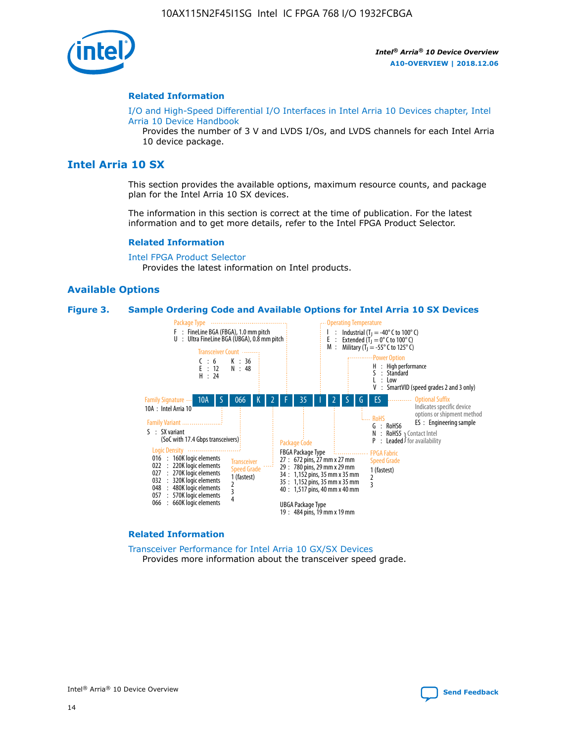

#### **Related Information**

[I/O and High-Speed Differential I/O Interfaces in Intel Arria 10 Devices chapter, Intel](https://www.intel.com/content/www/us/en/programmable/documentation/sam1403482614086.html#sam1403482030321) [Arria 10 Device Handbook](https://www.intel.com/content/www/us/en/programmable/documentation/sam1403482614086.html#sam1403482030321)

Provides the number of 3 V and LVDS I/Os, and LVDS channels for each Intel Arria 10 device package.

## **Intel Arria 10 SX**

This section provides the available options, maximum resource counts, and package plan for the Intel Arria 10 SX devices.

The information in this section is correct at the time of publication. For the latest information and to get more details, refer to the Intel FPGA Product Selector.

#### **Related Information**

[Intel FPGA Product Selector](http://www.altera.com/products/selector/psg-selector.html) Provides the latest information on Intel products.

## **Available Options**

#### **Figure 3. Sample Ordering Code and Available Options for Intel Arria 10 SX Devices**



#### **Related Information**

[Transceiver Performance for Intel Arria 10 GX/SX Devices](https://www.intel.com/content/www/us/en/programmable/documentation/mcn1413182292568.html#mcn1413213965502) Provides more information about the transceiver speed grade.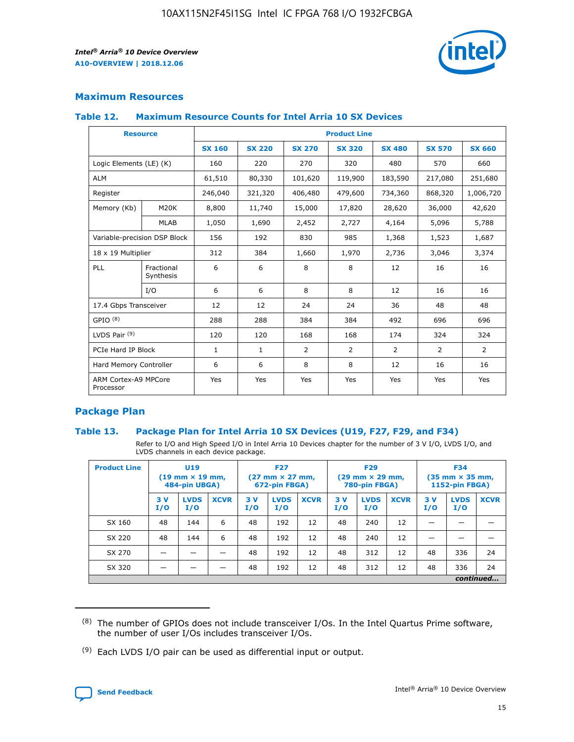

## **Maximum Resources**

#### **Table 12. Maximum Resource Counts for Intel Arria 10 SX Devices**

| <b>Resource</b>                   |                         | <b>Product Line</b> |               |                |                |                |                |                |  |  |  |
|-----------------------------------|-------------------------|---------------------|---------------|----------------|----------------|----------------|----------------|----------------|--|--|--|
|                                   |                         | <b>SX 160</b>       | <b>SX 220</b> | <b>SX 270</b>  | <b>SX 320</b>  | <b>SX 480</b>  | <b>SX 570</b>  | <b>SX 660</b>  |  |  |  |
| Logic Elements (LE) (K)           |                         | 160                 | 220           | 270            | 320            | 480            | 570            | 660            |  |  |  |
| <b>ALM</b>                        |                         | 61,510              | 80,330        | 101,620        | 119,900        | 183,590        | 217,080        | 251,680        |  |  |  |
| Register                          |                         | 246,040             | 321,320       | 406,480        | 479,600        | 734,360        | 868,320        | 1,006,720      |  |  |  |
| Memory (Kb)                       | M <sub>20</sub> K       | 8,800               | 11,740        | 15,000         | 17,820         | 28,620         | 36,000         | 42,620         |  |  |  |
|                                   | <b>MLAB</b>             | 1,050               | 1,690         | 2,452          | 2,727          | 4,164          | 5,096          | 5,788          |  |  |  |
| Variable-precision DSP Block      |                         | 156                 | 192           | 830            | 985            | 1,368          | 1,523          | 1,687          |  |  |  |
| 18 x 19 Multiplier                |                         | 312                 | 384           | 1,660          | 1,970          | 2,736          | 3,046          | 3,374          |  |  |  |
| PLL                               | Fractional<br>Synthesis | 6                   | 6             | 8              | 8              | 12             | 16             | 16             |  |  |  |
|                                   | I/O                     | 6                   | 6             | 8              | 8              | 12             | 16             | 16             |  |  |  |
| 17.4 Gbps Transceiver             |                         | 12                  | 12            | 24             | 24             | 36             | 48             | 48             |  |  |  |
| GPIO <sup>(8)</sup>               |                         | 288                 | 288           | 384            | 384            | 492            | 696            | 696            |  |  |  |
| LVDS Pair $(9)$                   |                         | 120                 | 120           | 168            | 168            | 174            | 324            | 324            |  |  |  |
| PCIe Hard IP Block                |                         | $\mathbf{1}$        | $\mathbf{1}$  | $\overline{2}$ | $\overline{2}$ | $\overline{2}$ | $\overline{2}$ | $\overline{2}$ |  |  |  |
| Hard Memory Controller            |                         | 6                   | 6             | 8              | 8              | 12             | 16             | 16             |  |  |  |
| ARM Cortex-A9 MPCore<br>Processor |                         | Yes                 | Yes           | Yes            | Yes            | Yes            | Yes            | <b>Yes</b>     |  |  |  |

## **Package Plan**

#### **Table 13. Package Plan for Intel Arria 10 SX Devices (U19, F27, F29, and F34)**

Refer to I/O and High Speed I/O in Intel Arria 10 Devices chapter for the number of 3 V I/O, LVDS I/O, and LVDS channels in each device package.

| <b>Product Line</b> | U <sub>19</sub><br>$(19 \text{ mm} \times 19 \text{ mm})$<br>484-pin UBGA) |                    |             | <b>F27</b><br>$(27 \text{ mm} \times 27 \text{ mm})$ .<br>672-pin FBGA) |                    | <b>F29</b><br>$(29 \text{ mm} \times 29 \text{ mm})$ .<br>780-pin FBGA) |            |                    | <b>F34</b><br>$(35 \text{ mm} \times 35 \text{ mm})$<br><b>1152-pin FBGA)</b> |           |                    |             |
|---------------------|----------------------------------------------------------------------------|--------------------|-------------|-------------------------------------------------------------------------|--------------------|-------------------------------------------------------------------------|------------|--------------------|-------------------------------------------------------------------------------|-----------|--------------------|-------------|
|                     | 3V<br>I/O                                                                  | <b>LVDS</b><br>I/O | <b>XCVR</b> | 3V<br>I/O                                                               | <b>LVDS</b><br>I/O | <b>XCVR</b>                                                             | 3 V<br>I/O | <b>LVDS</b><br>I/O | <b>XCVR</b>                                                                   | 3V<br>I/O | <b>LVDS</b><br>I/O | <b>XCVR</b> |
| SX 160              | 48                                                                         | 144                | 6           | 48                                                                      | 192                | 12                                                                      | 48         | 240                | 12                                                                            |           |                    |             |
| SX 220              | 48                                                                         | 144                | 6           | 48                                                                      | 192                | 12                                                                      | 48         | 240                | 12                                                                            |           |                    |             |
| SX 270              |                                                                            |                    |             | 48                                                                      | 192                | 12                                                                      | 48         | 312                | 12                                                                            | 48        | 336                | 24          |
| SX 320              |                                                                            |                    |             | 48                                                                      | 192                | 12                                                                      | 48         | 312                | 12                                                                            | 48        | 336                | 24          |
|                     | continued                                                                  |                    |             |                                                                         |                    |                                                                         |            |                    |                                                                               |           |                    |             |

 $(8)$  The number of GPIOs does not include transceiver I/Os. In the Intel Quartus Prime software, the number of user I/Os includes transceiver I/Os.

 $(9)$  Each LVDS I/O pair can be used as differential input or output.

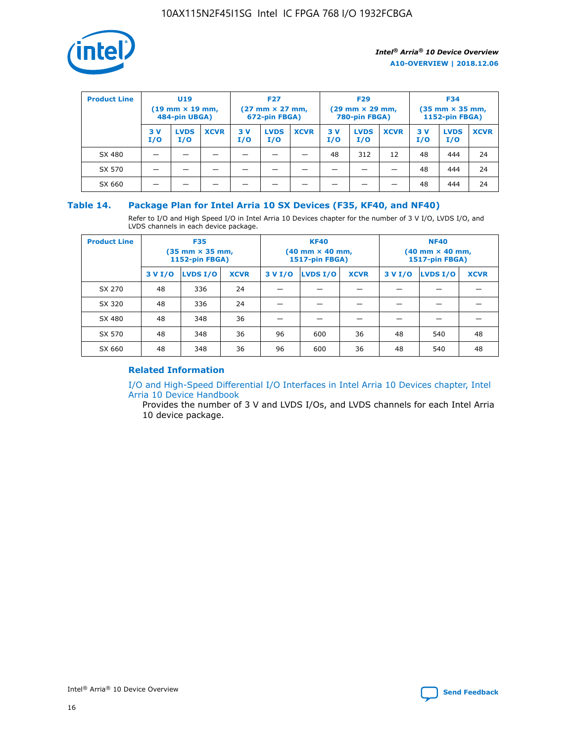

| <b>Product Line</b><br><b>U19</b><br>$(19 \text{ mm} \times 19 \text{ mm})$<br>484-pin UBGA) |            |                    | <b>F27</b><br>$(27 \text{ mm} \times 27 \text{ mm})$<br>672-pin FBGA) |           |                    | <b>F29</b><br>$(29$ mm $\times$ 29 mm,<br>780-pin FBGA) |           |                    | <b>F34</b><br>$(35$ mm $\times$ 35 mm,<br><b>1152-pin FBGA)</b> |           |                    |             |
|----------------------------------------------------------------------------------------------|------------|--------------------|-----------------------------------------------------------------------|-----------|--------------------|---------------------------------------------------------|-----------|--------------------|-----------------------------------------------------------------|-----------|--------------------|-------------|
|                                                                                              | 3 V<br>I/O | <b>LVDS</b><br>I/O | <b>XCVR</b>                                                           | 3V<br>I/O | <b>LVDS</b><br>I/O | <b>XCVR</b>                                             | 3V<br>I/O | <b>LVDS</b><br>I/O | <b>XCVR</b>                                                     | 3V<br>I/O | <b>LVDS</b><br>I/O | <b>XCVR</b> |
| SX 480                                                                                       |            |                    |                                                                       |           |                    |                                                         | 48        | 312                | 12                                                              | 48        | 444                | 24          |
| SX 570                                                                                       |            |                    |                                                                       |           |                    |                                                         |           |                    |                                                                 | 48        | 444                | 24          |
| SX 660                                                                                       |            |                    |                                                                       |           |                    |                                                         |           |                    |                                                                 | 48        | 444                | 24          |

## **Table 14. Package Plan for Intel Arria 10 SX Devices (F35, KF40, and NF40)**

Refer to I/O and High Speed I/O in Intel Arria 10 Devices chapter for the number of 3 V I/O, LVDS I/O, and LVDS channels in each device package.

| <b>Product Line</b> | <b>F35</b><br>(35 mm × 35 mm,<br><b>1152-pin FBGA)</b> |          |             |                                           | <b>KF40</b><br>(40 mm × 40 mm,<br>1517-pin FBGA) |    | <b>NF40</b><br>$(40 \text{ mm} \times 40 \text{ mm})$<br>1517-pin FBGA) |          |             |  |
|---------------------|--------------------------------------------------------|----------|-------------|-------------------------------------------|--------------------------------------------------|----|-------------------------------------------------------------------------|----------|-------------|--|
|                     | 3 V I/O                                                | LVDS I/O | <b>XCVR</b> | <b>LVDS I/O</b><br>3 V I/O<br><b>XCVR</b> |                                                  |    | 3 V I/O                                                                 | LVDS I/O | <b>XCVR</b> |  |
| SX 270              | 48                                                     | 336      | 24          |                                           |                                                  |    |                                                                         |          |             |  |
| SX 320              | 48                                                     | 336      | 24          |                                           |                                                  |    |                                                                         |          |             |  |
| SX 480              | 48                                                     | 348      | 36          |                                           |                                                  |    |                                                                         |          |             |  |
| SX 570              | 48                                                     | 348      | 36          | 96                                        | 600                                              | 36 | 48                                                                      | 540      | 48          |  |
| SX 660              | 48                                                     | 348      | 36          | 96                                        | 600                                              | 36 | 48                                                                      | 540      | 48          |  |

## **Related Information**

[I/O and High-Speed Differential I/O Interfaces in Intel Arria 10 Devices chapter, Intel](https://www.intel.com/content/www/us/en/programmable/documentation/sam1403482614086.html#sam1403482030321) [Arria 10 Device Handbook](https://www.intel.com/content/www/us/en/programmable/documentation/sam1403482614086.html#sam1403482030321)

Provides the number of 3 V and LVDS I/Os, and LVDS channels for each Intel Arria 10 device package.

Intel<sup>®</sup> Arria<sup>®</sup> 10 Device Overview **[Send Feedback](mailto:FPGAtechdocfeedback@intel.com?subject=Feedback%20on%20Intel%20Arria%2010%20Device%20Overview%20(A10-OVERVIEW%202018.12.06)&body=We%20appreciate%20your%20feedback.%20In%20your%20comments,%20also%20specify%20the%20page%20number%20or%20paragraph.%20Thank%20you.)** Send Feedback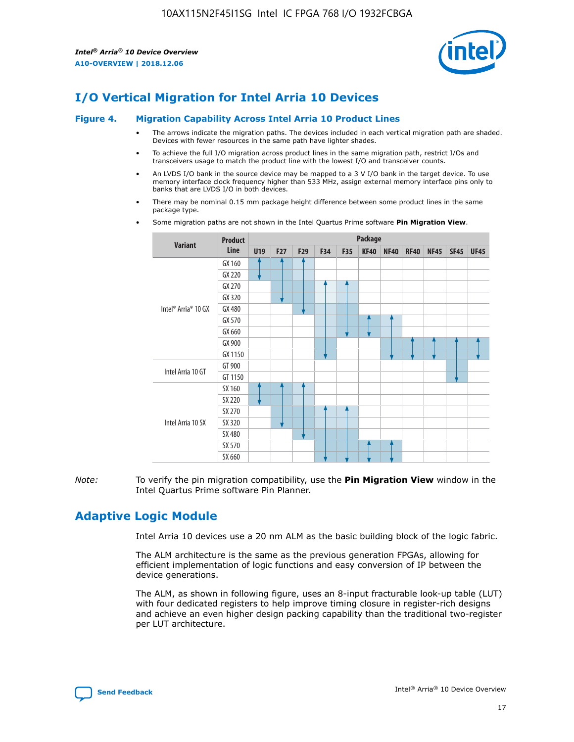

# **I/O Vertical Migration for Intel Arria 10 Devices**

#### **Figure 4. Migration Capability Across Intel Arria 10 Product Lines**

- The arrows indicate the migration paths. The devices included in each vertical migration path are shaded. Devices with fewer resources in the same path have lighter shades.
- To achieve the full I/O migration across product lines in the same migration path, restrict I/Os and transceivers usage to match the product line with the lowest I/O and transceiver counts.
- An LVDS I/O bank in the source device may be mapped to a 3 V I/O bank in the target device. To use memory interface clock frequency higher than 533 MHz, assign external memory interface pins only to banks that are LVDS I/O in both devices.
- There may be nominal 0.15 mm package height difference between some product lines in the same package type.
	- **Variant Product Line Package U19 F27 F29 F34 F35 KF40 NF40 RF40 NF45 SF45 UF45** Intel® Arria® 10 GX GX 160 GX 220 GX 270 GX 320 GX 480 GX 570 GX 660 GX 900 GX 1150 Intel Arria 10 GT GT 900 GT 1150 Intel Arria 10 SX SX 160 SX 220 SX 270 SX 320 SX 480 SX 570 SX 660
- Some migration paths are not shown in the Intel Quartus Prime software **Pin Migration View**.

*Note:* To verify the pin migration compatibility, use the **Pin Migration View** window in the Intel Quartus Prime software Pin Planner.

# **Adaptive Logic Module**

Intel Arria 10 devices use a 20 nm ALM as the basic building block of the logic fabric.

The ALM architecture is the same as the previous generation FPGAs, allowing for efficient implementation of logic functions and easy conversion of IP between the device generations.

The ALM, as shown in following figure, uses an 8-input fracturable look-up table (LUT) with four dedicated registers to help improve timing closure in register-rich designs and achieve an even higher design packing capability than the traditional two-register per LUT architecture.

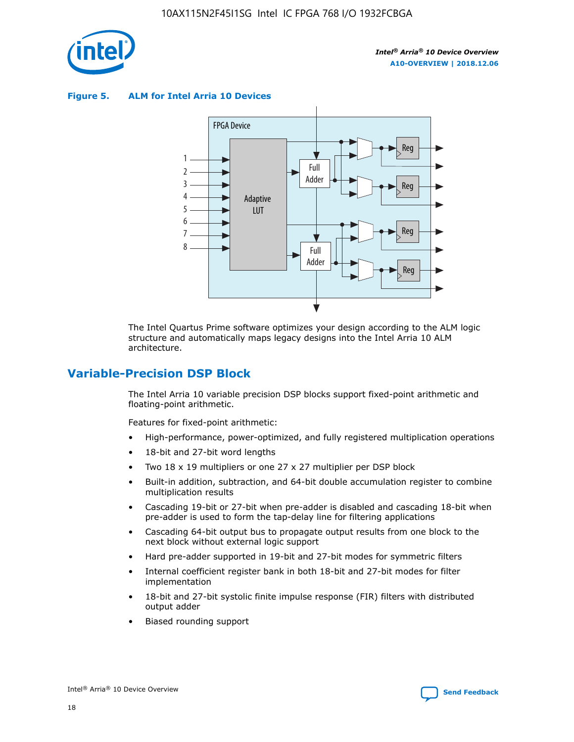

**Figure 5. ALM for Intel Arria 10 Devices**



The Intel Quartus Prime software optimizes your design according to the ALM logic structure and automatically maps legacy designs into the Intel Arria 10 ALM architecture.

## **Variable-Precision DSP Block**

The Intel Arria 10 variable precision DSP blocks support fixed-point arithmetic and floating-point arithmetic.

Features for fixed-point arithmetic:

- High-performance, power-optimized, and fully registered multiplication operations
- 18-bit and 27-bit word lengths
- Two 18 x 19 multipliers or one 27 x 27 multiplier per DSP block
- Built-in addition, subtraction, and 64-bit double accumulation register to combine multiplication results
- Cascading 19-bit or 27-bit when pre-adder is disabled and cascading 18-bit when pre-adder is used to form the tap-delay line for filtering applications
- Cascading 64-bit output bus to propagate output results from one block to the next block without external logic support
- Hard pre-adder supported in 19-bit and 27-bit modes for symmetric filters
- Internal coefficient register bank in both 18-bit and 27-bit modes for filter implementation
- 18-bit and 27-bit systolic finite impulse response (FIR) filters with distributed output adder
- Biased rounding support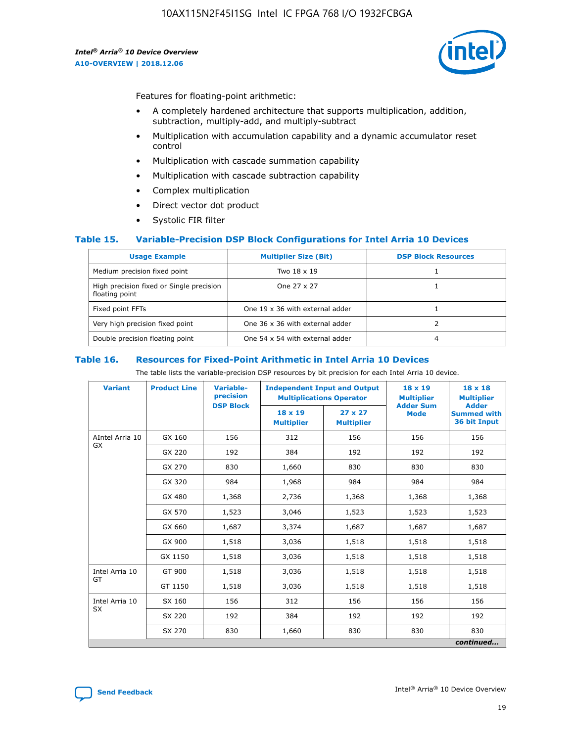

Features for floating-point arithmetic:

- A completely hardened architecture that supports multiplication, addition, subtraction, multiply-add, and multiply-subtract
- Multiplication with accumulation capability and a dynamic accumulator reset control
- Multiplication with cascade summation capability
- Multiplication with cascade subtraction capability
- Complex multiplication
- Direct vector dot product
- Systolic FIR filter

#### **Table 15. Variable-Precision DSP Block Configurations for Intel Arria 10 Devices**

| <b>Usage Example</b>                                       | <b>Multiplier Size (Bit)</b>    | <b>DSP Block Resources</b> |
|------------------------------------------------------------|---------------------------------|----------------------------|
| Medium precision fixed point                               | Two 18 x 19                     |                            |
| High precision fixed or Single precision<br>floating point | One 27 x 27                     |                            |
| Fixed point FFTs                                           | One 19 x 36 with external adder |                            |
| Very high precision fixed point                            | One 36 x 36 with external adder |                            |
| Double precision floating point                            | One 54 x 54 with external adder | 4                          |

#### **Table 16. Resources for Fixed-Point Arithmetic in Intel Arria 10 Devices**

The table lists the variable-precision DSP resources by bit precision for each Intel Arria 10 device.

| <b>Variant</b>  | <b>Product Line</b> | <b>Variable-</b><br>precision<br><b>DSP Block</b> | <b>Independent Input and Output</b><br><b>Multiplications Operator</b> |                                     | 18 x 19<br><b>Multiplier</b><br><b>Adder Sum</b> | $18 \times 18$<br><b>Multiplier</b><br><b>Adder</b> |
|-----------------|---------------------|---------------------------------------------------|------------------------------------------------------------------------|-------------------------------------|--------------------------------------------------|-----------------------------------------------------|
|                 |                     |                                                   | 18 x 19<br><b>Multiplier</b>                                           | $27 \times 27$<br><b>Multiplier</b> | <b>Mode</b>                                      | <b>Summed with</b><br>36 bit Input                  |
| AIntel Arria 10 | GX 160              | 156                                               | 312                                                                    | 156                                 | 156                                              | 156                                                 |
| GX              | GX 220              | 192                                               | 384                                                                    | 192                                 | 192                                              | 192                                                 |
|                 | GX 270              | 830                                               | 1,660                                                                  | 830                                 | 830                                              | 830                                                 |
|                 | GX 320              | 984                                               | 1,968                                                                  | 984                                 | 984                                              | 984                                                 |
|                 | GX 480              | 1,368                                             | 2,736                                                                  | 1,368                               | 1,368                                            | 1,368                                               |
|                 | GX 570              | 1,523                                             | 3,046                                                                  | 1,523                               | 1,523                                            | 1,523                                               |
|                 | GX 660              | 1,687                                             | 3,374                                                                  | 1,687                               | 1,687                                            | 1,687                                               |
|                 | GX 900              | 1,518                                             | 3,036                                                                  | 1,518                               | 1,518                                            | 1,518                                               |
|                 | GX 1150             | 1,518                                             | 3,036                                                                  | 1,518                               | 1,518                                            | 1,518                                               |
| Intel Arria 10  | GT 900              | 1,518                                             | 3,036                                                                  | 1,518                               | 1,518                                            | 1,518                                               |
| GT              | GT 1150             | 1,518                                             | 3,036                                                                  | 1,518                               | 1,518                                            | 1,518                                               |
| Intel Arria 10  | SX 160              | 156                                               | 312                                                                    | 156                                 | 156                                              | 156                                                 |
| <b>SX</b>       | SX 220              | 192                                               | 384                                                                    | 192                                 | 192                                              | 192                                                 |
|                 | SX 270              | 830                                               | 1,660                                                                  | 830                                 | 830                                              | 830                                                 |
|                 |                     |                                                   |                                                                        |                                     |                                                  | continued                                           |

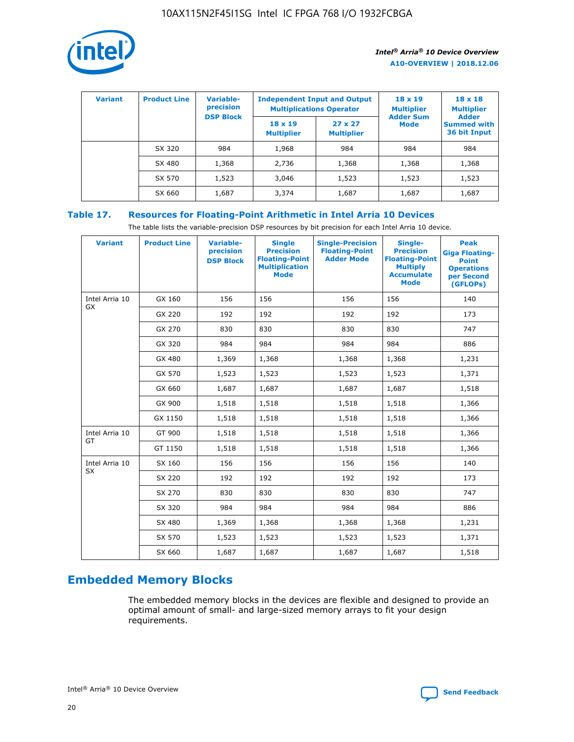

| <b>Variant</b> | <b>Product Line</b> | Variable-<br>precision | <b>Independent Input and Output</b><br><b>Multiplications Operator</b> |                                     | $18 \times 19$<br><b>Multiplier</b> | $18 \times 18$<br><b>Multiplier</b><br><b>Adder</b> |  |
|----------------|---------------------|------------------------|------------------------------------------------------------------------|-------------------------------------|-------------------------------------|-----------------------------------------------------|--|
|                |                     | <b>DSP Block</b>       | $18 \times 19$<br><b>Multiplier</b>                                    | $27 \times 27$<br><b>Multiplier</b> | <b>Adder Sum</b><br><b>Mode</b>     | <b>Summed with</b><br>36 bit Input                  |  |
|                | SX 320              | 984                    | 1,968                                                                  | 984                                 | 984                                 | 984                                                 |  |
|                | SX 480              | 1,368                  | 2,736                                                                  | 1,368                               | 1,368                               | 1,368                                               |  |
|                | SX 570              | 1,523                  | 3,046                                                                  | 1,523                               | 1,523                               | 1,523                                               |  |
|                | SX 660              | 1,687                  | 3,374                                                                  | 1,687                               | 1,687                               | 1,687                                               |  |

## **Table 17. Resources for Floating-Point Arithmetic in Intel Arria 10 Devices**

The table lists the variable-precision DSP resources by bit precision for each Intel Arria 10 device.

| <b>Variant</b> | <b>Product Line</b> | <b>Variable-</b><br>precision<br><b>DSP Block</b> | <b>Single</b><br><b>Precision</b><br><b>Floating-Point</b><br><b>Multiplication</b><br><b>Mode</b> | <b>Single-Precision</b><br><b>Floating-Point</b><br><b>Adder Mode</b> | Single-<br><b>Precision</b><br><b>Floating-Point</b><br><b>Multiply</b><br><b>Accumulate</b><br><b>Mode</b> | <b>Peak</b><br><b>Giga Floating-</b><br><b>Point</b><br><b>Operations</b><br>per Second<br>(GFLOPs) |
|----------------|---------------------|---------------------------------------------------|----------------------------------------------------------------------------------------------------|-----------------------------------------------------------------------|-------------------------------------------------------------------------------------------------------------|-----------------------------------------------------------------------------------------------------|
| Intel Arria 10 | GX 160              | 156                                               | 156                                                                                                | 156                                                                   | 156                                                                                                         | 140                                                                                                 |
| GX             | GX 220              | 192                                               | 192                                                                                                | 192                                                                   | 192                                                                                                         | 173                                                                                                 |
|                | GX 270              | 830                                               | 830                                                                                                | 830                                                                   | 830                                                                                                         | 747                                                                                                 |
|                | GX 320              | 984                                               | 984                                                                                                | 984                                                                   | 984                                                                                                         | 886                                                                                                 |
|                | GX 480              | 1,369                                             | 1,368                                                                                              | 1,368                                                                 | 1,368                                                                                                       | 1,231                                                                                               |
|                | GX 570              | 1,523                                             | 1,523                                                                                              | 1,523                                                                 | 1,523                                                                                                       | 1,371                                                                                               |
|                | GX 660              | 1,687                                             | 1,687                                                                                              | 1,687                                                                 | 1,687                                                                                                       | 1,518                                                                                               |
|                | GX 900              | 1,518                                             | 1,518                                                                                              | 1,518                                                                 | 1,518                                                                                                       | 1,366                                                                                               |
|                | GX 1150             | 1,518                                             | 1,518                                                                                              | 1,518                                                                 | 1,518                                                                                                       | 1,366                                                                                               |
| Intel Arria 10 | GT 900              | 1,518                                             | 1,518                                                                                              | 1,518                                                                 | 1,518                                                                                                       | 1,366                                                                                               |
| GT             | GT 1150             | 1,518                                             | 1,518                                                                                              | 1,518                                                                 | 1,518                                                                                                       | 1,366                                                                                               |
| Intel Arria 10 | SX 160              | 156                                               | 156                                                                                                | 156                                                                   | 156                                                                                                         | 140                                                                                                 |
| SX             | SX 220              | 192                                               | 192                                                                                                | 192                                                                   | 192                                                                                                         | 173                                                                                                 |
|                | SX 270              | 830                                               | 830                                                                                                | 830                                                                   | 830                                                                                                         | 747                                                                                                 |
|                | SX 320              | 984                                               | 984                                                                                                | 984                                                                   | 984                                                                                                         | 886                                                                                                 |
|                | SX 480              | 1,369                                             | 1,368                                                                                              | 1,368                                                                 | 1,368                                                                                                       | 1,231                                                                                               |
|                | SX 570              | 1,523                                             | 1,523                                                                                              | 1,523                                                                 | 1,523                                                                                                       | 1,371                                                                                               |
|                | SX 660              | 1,687                                             | 1,687                                                                                              | 1,687                                                                 | 1,687                                                                                                       | 1,518                                                                                               |

# **Embedded Memory Blocks**

The embedded memory blocks in the devices are flexible and designed to provide an optimal amount of small- and large-sized memory arrays to fit your design requirements.

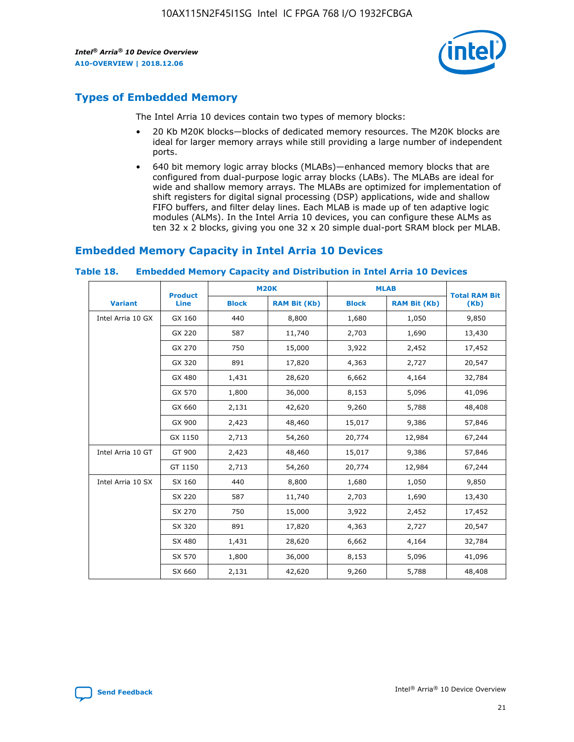

# **Types of Embedded Memory**

The Intel Arria 10 devices contain two types of memory blocks:

- 20 Kb M20K blocks—blocks of dedicated memory resources. The M20K blocks are ideal for larger memory arrays while still providing a large number of independent ports.
- 640 bit memory logic array blocks (MLABs)—enhanced memory blocks that are configured from dual-purpose logic array blocks (LABs). The MLABs are ideal for wide and shallow memory arrays. The MLABs are optimized for implementation of shift registers for digital signal processing (DSP) applications, wide and shallow FIFO buffers, and filter delay lines. Each MLAB is made up of ten adaptive logic modules (ALMs). In the Intel Arria 10 devices, you can configure these ALMs as ten 32 x 2 blocks, giving you one 32 x 20 simple dual-port SRAM block per MLAB.

# **Embedded Memory Capacity in Intel Arria 10 Devices**

|                   | <b>Product</b> |              | <b>M20K</b>         |              | <b>MLAB</b>         | <b>Total RAM Bit</b> |
|-------------------|----------------|--------------|---------------------|--------------|---------------------|----------------------|
| <b>Variant</b>    | Line           | <b>Block</b> | <b>RAM Bit (Kb)</b> | <b>Block</b> | <b>RAM Bit (Kb)</b> | (Kb)                 |
| Intel Arria 10 GX | GX 160         | 440          | 8,800               | 1,680        | 1,050               | 9,850                |
|                   | GX 220         | 587          | 11,740              | 2,703        | 1,690               | 13,430               |
|                   | GX 270         | 750          | 15,000              | 3,922        | 2,452               | 17,452               |
|                   | GX 320         | 891          | 17,820              | 4,363        | 2,727               | 20,547               |
|                   | GX 480         | 1,431        | 28,620              | 6,662        | 4,164               | 32,784               |
|                   | GX 570         | 1,800        | 36,000              | 8,153        | 5,096               | 41,096               |
|                   | GX 660         | 2,131        | 42,620              | 9,260        | 5,788               | 48,408               |
|                   | GX 900         | 2,423        | 48,460              | 15,017       | 9,386               | 57,846               |
|                   | GX 1150        | 2,713        | 54,260              | 20,774       | 12,984              | 67,244               |
| Intel Arria 10 GT | GT 900         | 2,423        | 48,460              | 15,017       | 9,386               | 57,846               |
|                   | GT 1150        | 2,713        | 54,260              | 20,774       | 12,984              | 67,244               |
| Intel Arria 10 SX | SX 160         | 440          | 8,800               | 1,680        | 1,050               | 9,850                |
|                   | SX 220         | 587          | 11,740              | 2,703        | 1,690               | 13,430               |
|                   | SX 270         | 750          | 15,000              | 3,922        | 2,452               | 17,452               |
|                   | SX 320         | 891          | 17,820              | 4,363        | 2,727               | 20,547               |
|                   | SX 480         | 1,431        | 28,620              | 6,662        | 4,164               | 32,784               |
|                   | SX 570         | 1,800        | 36,000              | 8,153        | 5,096               | 41,096               |
|                   | SX 660         | 2,131        | 42,620              | 9,260        | 5,788               | 48,408               |

#### **Table 18. Embedded Memory Capacity and Distribution in Intel Arria 10 Devices**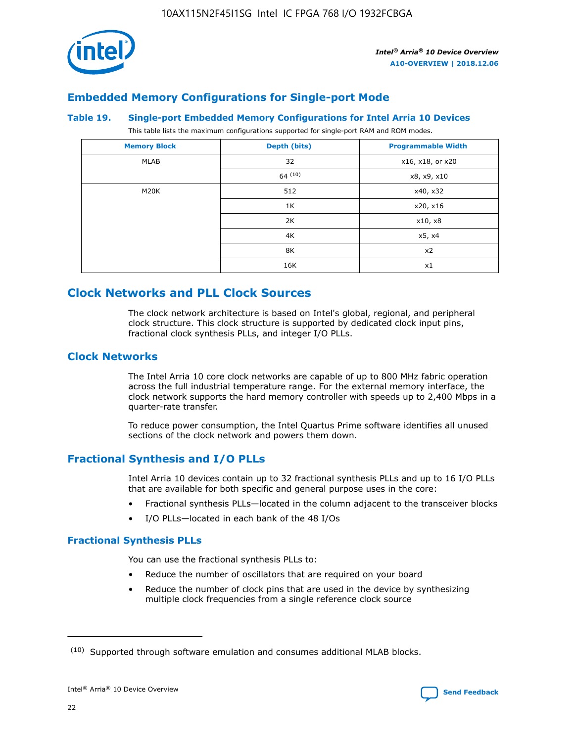

## **Embedded Memory Configurations for Single-port Mode**

#### **Table 19. Single-port Embedded Memory Configurations for Intel Arria 10 Devices**

This table lists the maximum configurations supported for single-port RAM and ROM modes.

| <b>Memory Block</b> | Depth (bits) | <b>Programmable Width</b> |
|---------------------|--------------|---------------------------|
| MLAB                | 32           | x16, x18, or x20          |
|                     | 64(10)       | x8, x9, x10               |
| M20K                | 512          | x40, x32                  |
|                     | 1K           | x20, x16                  |
|                     | 2K           | x10, x8                   |
|                     | 4K           | x5, x4                    |
|                     | 8K           | x2                        |
|                     | 16K          | x1                        |

# **Clock Networks and PLL Clock Sources**

The clock network architecture is based on Intel's global, regional, and peripheral clock structure. This clock structure is supported by dedicated clock input pins, fractional clock synthesis PLLs, and integer I/O PLLs.

## **Clock Networks**

The Intel Arria 10 core clock networks are capable of up to 800 MHz fabric operation across the full industrial temperature range. For the external memory interface, the clock network supports the hard memory controller with speeds up to 2,400 Mbps in a quarter-rate transfer.

To reduce power consumption, the Intel Quartus Prime software identifies all unused sections of the clock network and powers them down.

## **Fractional Synthesis and I/O PLLs**

Intel Arria 10 devices contain up to 32 fractional synthesis PLLs and up to 16 I/O PLLs that are available for both specific and general purpose uses in the core:

- Fractional synthesis PLLs—located in the column adjacent to the transceiver blocks
- I/O PLLs—located in each bank of the 48 I/Os

## **Fractional Synthesis PLLs**

You can use the fractional synthesis PLLs to:

- Reduce the number of oscillators that are required on your board
- Reduce the number of clock pins that are used in the device by synthesizing multiple clock frequencies from a single reference clock source

<sup>(10)</sup> Supported through software emulation and consumes additional MLAB blocks.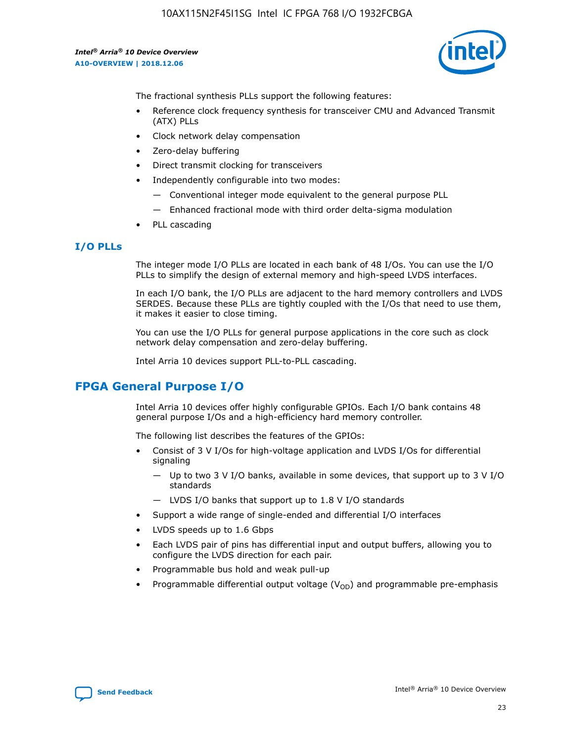10AX115N2F45I1SG Intel IC FPGA 768 I/O 1932FCBGA

*Intel® Arria® 10 Device Overview* **A10-OVERVIEW | 2018.12.06**



The fractional synthesis PLLs support the following features:

- Reference clock frequency synthesis for transceiver CMU and Advanced Transmit (ATX) PLLs
- Clock network delay compensation
- Zero-delay buffering
- Direct transmit clocking for transceivers
- Independently configurable into two modes:
	- Conventional integer mode equivalent to the general purpose PLL
	- Enhanced fractional mode with third order delta-sigma modulation
- PLL cascading

## **I/O PLLs**

The integer mode I/O PLLs are located in each bank of 48 I/Os. You can use the I/O PLLs to simplify the design of external memory and high-speed LVDS interfaces.

In each I/O bank, the I/O PLLs are adjacent to the hard memory controllers and LVDS SERDES. Because these PLLs are tightly coupled with the I/Os that need to use them, it makes it easier to close timing.

You can use the I/O PLLs for general purpose applications in the core such as clock network delay compensation and zero-delay buffering.

Intel Arria 10 devices support PLL-to-PLL cascading.

# **FPGA General Purpose I/O**

Intel Arria 10 devices offer highly configurable GPIOs. Each I/O bank contains 48 general purpose I/Os and a high-efficiency hard memory controller.

The following list describes the features of the GPIOs:

- Consist of 3 V I/Os for high-voltage application and LVDS I/Os for differential signaling
	- Up to two 3 V I/O banks, available in some devices, that support up to 3 V I/O standards
	- LVDS I/O banks that support up to 1.8 V I/O standards
- Support a wide range of single-ended and differential I/O interfaces
- LVDS speeds up to 1.6 Gbps
- Each LVDS pair of pins has differential input and output buffers, allowing you to configure the LVDS direction for each pair.
- Programmable bus hold and weak pull-up
- Programmable differential output voltage  $(V_{OD})$  and programmable pre-emphasis

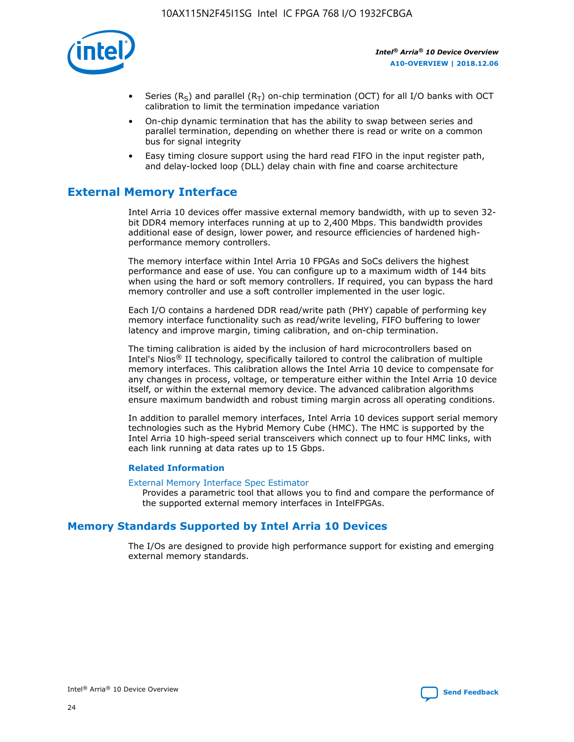

- Series (R<sub>S</sub>) and parallel (R<sub>T</sub>) on-chip termination (OCT) for all I/O banks with OCT calibration to limit the termination impedance variation
- On-chip dynamic termination that has the ability to swap between series and parallel termination, depending on whether there is read or write on a common bus for signal integrity
- Easy timing closure support using the hard read FIFO in the input register path, and delay-locked loop (DLL) delay chain with fine and coarse architecture

# **External Memory Interface**

Intel Arria 10 devices offer massive external memory bandwidth, with up to seven 32 bit DDR4 memory interfaces running at up to 2,400 Mbps. This bandwidth provides additional ease of design, lower power, and resource efficiencies of hardened highperformance memory controllers.

The memory interface within Intel Arria 10 FPGAs and SoCs delivers the highest performance and ease of use. You can configure up to a maximum width of 144 bits when using the hard or soft memory controllers. If required, you can bypass the hard memory controller and use a soft controller implemented in the user logic.

Each I/O contains a hardened DDR read/write path (PHY) capable of performing key memory interface functionality such as read/write leveling, FIFO buffering to lower latency and improve margin, timing calibration, and on-chip termination.

The timing calibration is aided by the inclusion of hard microcontrollers based on Intel's Nios® II technology, specifically tailored to control the calibration of multiple memory interfaces. This calibration allows the Intel Arria 10 device to compensate for any changes in process, voltage, or temperature either within the Intel Arria 10 device itself, or within the external memory device. The advanced calibration algorithms ensure maximum bandwidth and robust timing margin across all operating conditions.

In addition to parallel memory interfaces, Intel Arria 10 devices support serial memory technologies such as the Hybrid Memory Cube (HMC). The HMC is supported by the Intel Arria 10 high-speed serial transceivers which connect up to four HMC links, with each link running at data rates up to 15 Gbps.

#### **Related Information**

#### [External Memory Interface Spec Estimator](http://www.altera.com/technology/memory/estimator/mem-emif-index.html)

Provides a parametric tool that allows you to find and compare the performance of the supported external memory interfaces in IntelFPGAs.

## **Memory Standards Supported by Intel Arria 10 Devices**

The I/Os are designed to provide high performance support for existing and emerging external memory standards.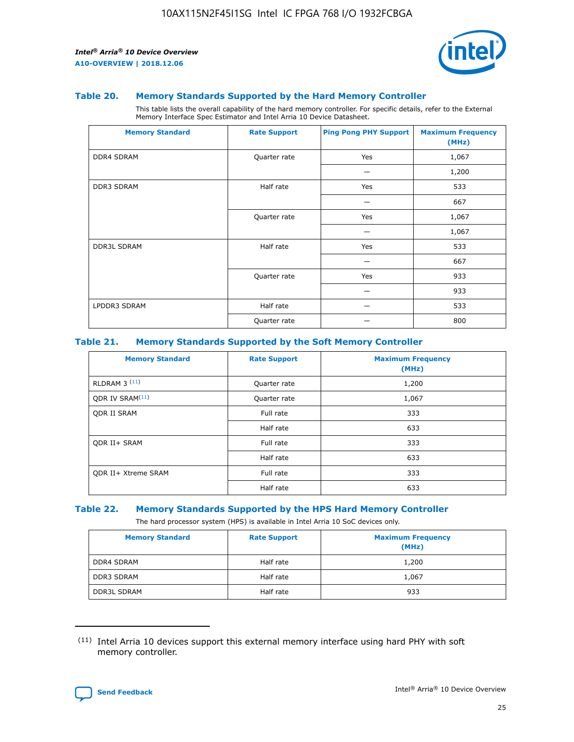

#### **Table 20. Memory Standards Supported by the Hard Memory Controller**

This table lists the overall capability of the hard memory controller. For specific details, refer to the External Memory Interface Spec Estimator and Intel Arria 10 Device Datasheet.

| <b>Memory Standard</b> | <b>Rate Support</b> | <b>Ping Pong PHY Support</b> | <b>Maximum Frequency</b><br>(MHz) |
|------------------------|---------------------|------------------------------|-----------------------------------|
| <b>DDR4 SDRAM</b>      | Quarter rate        | Yes                          | 1,067                             |
|                        |                     |                              | 1,200                             |
| DDR3 SDRAM             | Half rate           | Yes                          | 533                               |
|                        |                     |                              | 667                               |
|                        | Quarter rate        | Yes                          | 1,067                             |
|                        |                     |                              | 1,067                             |
| <b>DDR3L SDRAM</b>     | Half rate           | Yes                          | 533                               |
|                        |                     |                              | 667                               |
|                        | Quarter rate        | Yes                          | 933                               |
|                        |                     |                              | 933                               |
| LPDDR3 SDRAM           | Half rate           |                              | 533                               |
|                        | Quarter rate        |                              | 800                               |

#### **Table 21. Memory Standards Supported by the Soft Memory Controller**

| <b>Memory Standard</b>      | <b>Rate Support</b> | <b>Maximum Frequency</b><br>(MHz) |
|-----------------------------|---------------------|-----------------------------------|
| <b>RLDRAM 3 (11)</b>        | Quarter rate        | 1,200                             |
| ODR IV SRAM <sup>(11)</sup> | Quarter rate        | 1,067                             |
| <b>ODR II SRAM</b>          | Full rate           | 333                               |
|                             | Half rate           | 633                               |
| <b>ODR II+ SRAM</b>         | Full rate           | 333                               |
|                             | Half rate           | 633                               |
| <b>ODR II+ Xtreme SRAM</b>  | Full rate           | 333                               |
|                             | Half rate           | 633                               |

#### **Table 22. Memory Standards Supported by the HPS Hard Memory Controller**

The hard processor system (HPS) is available in Intel Arria 10 SoC devices only.

| <b>Memory Standard</b> | <b>Rate Support</b> | <b>Maximum Frequency</b><br>(MHz) |
|------------------------|---------------------|-----------------------------------|
| <b>DDR4 SDRAM</b>      | Half rate           | 1,200                             |
| <b>DDR3 SDRAM</b>      | Half rate           | 1,067                             |
| <b>DDR3L SDRAM</b>     | Half rate           | 933                               |

<sup>(11)</sup> Intel Arria 10 devices support this external memory interface using hard PHY with soft memory controller.

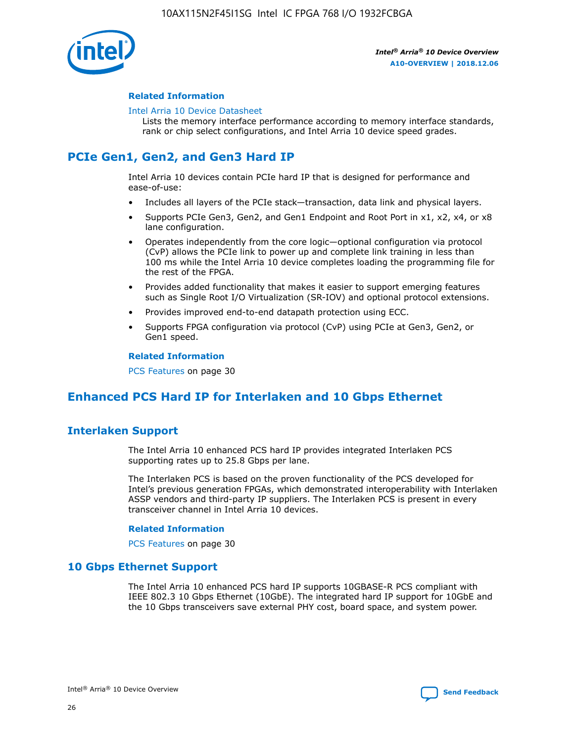

#### **Related Information**

#### [Intel Arria 10 Device Datasheet](https://www.intel.com/content/www/us/en/programmable/documentation/mcn1413182292568.html#mcn1413182153340)

Lists the memory interface performance according to memory interface standards, rank or chip select configurations, and Intel Arria 10 device speed grades.

# **PCIe Gen1, Gen2, and Gen3 Hard IP**

Intel Arria 10 devices contain PCIe hard IP that is designed for performance and ease-of-use:

- Includes all layers of the PCIe stack—transaction, data link and physical layers.
- Supports PCIe Gen3, Gen2, and Gen1 Endpoint and Root Port in x1, x2, x4, or x8 lane configuration.
- Operates independently from the core logic—optional configuration via protocol (CvP) allows the PCIe link to power up and complete link training in less than 100 ms while the Intel Arria 10 device completes loading the programming file for the rest of the FPGA.
- Provides added functionality that makes it easier to support emerging features such as Single Root I/O Virtualization (SR-IOV) and optional protocol extensions.
- Provides improved end-to-end datapath protection using ECC.
- Supports FPGA configuration via protocol (CvP) using PCIe at Gen3, Gen2, or Gen1 speed.

#### **Related Information**

PCS Features on page 30

# **Enhanced PCS Hard IP for Interlaken and 10 Gbps Ethernet**

## **Interlaken Support**

The Intel Arria 10 enhanced PCS hard IP provides integrated Interlaken PCS supporting rates up to 25.8 Gbps per lane.

The Interlaken PCS is based on the proven functionality of the PCS developed for Intel's previous generation FPGAs, which demonstrated interoperability with Interlaken ASSP vendors and third-party IP suppliers. The Interlaken PCS is present in every transceiver channel in Intel Arria 10 devices.

#### **Related Information**

PCS Features on page 30

## **10 Gbps Ethernet Support**

The Intel Arria 10 enhanced PCS hard IP supports 10GBASE-R PCS compliant with IEEE 802.3 10 Gbps Ethernet (10GbE). The integrated hard IP support for 10GbE and the 10 Gbps transceivers save external PHY cost, board space, and system power.

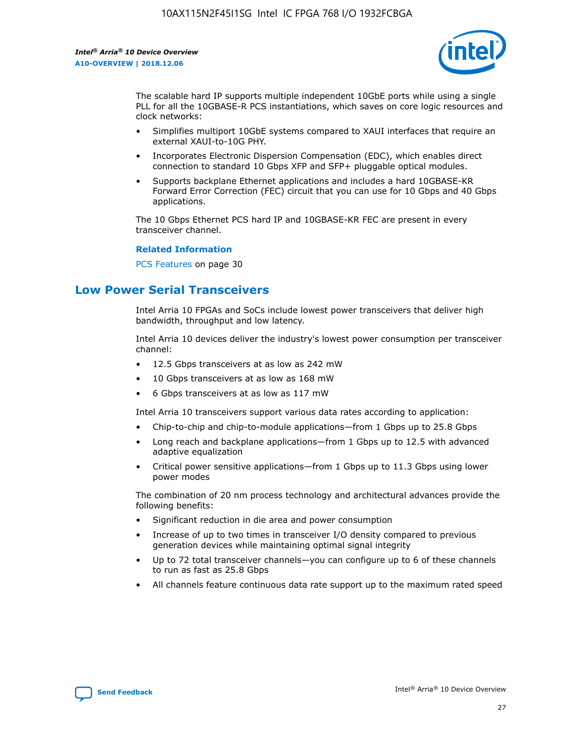

The scalable hard IP supports multiple independent 10GbE ports while using a single PLL for all the 10GBASE-R PCS instantiations, which saves on core logic resources and clock networks:

- Simplifies multiport 10GbE systems compared to XAUI interfaces that require an external XAUI-to-10G PHY.
- Incorporates Electronic Dispersion Compensation (EDC), which enables direct connection to standard 10 Gbps XFP and SFP+ pluggable optical modules.
- Supports backplane Ethernet applications and includes a hard 10GBASE-KR Forward Error Correction (FEC) circuit that you can use for 10 Gbps and 40 Gbps applications.

The 10 Gbps Ethernet PCS hard IP and 10GBASE-KR FEC are present in every transceiver channel.

#### **Related Information**

PCS Features on page 30

# **Low Power Serial Transceivers**

Intel Arria 10 FPGAs and SoCs include lowest power transceivers that deliver high bandwidth, throughput and low latency.

Intel Arria 10 devices deliver the industry's lowest power consumption per transceiver channel:

- 12.5 Gbps transceivers at as low as 242 mW
- 10 Gbps transceivers at as low as 168 mW
- 6 Gbps transceivers at as low as 117 mW

Intel Arria 10 transceivers support various data rates according to application:

- Chip-to-chip and chip-to-module applications—from 1 Gbps up to 25.8 Gbps
- Long reach and backplane applications—from 1 Gbps up to 12.5 with advanced adaptive equalization
- Critical power sensitive applications—from 1 Gbps up to 11.3 Gbps using lower power modes

The combination of 20 nm process technology and architectural advances provide the following benefits:

- Significant reduction in die area and power consumption
- Increase of up to two times in transceiver I/O density compared to previous generation devices while maintaining optimal signal integrity
- Up to 72 total transceiver channels—you can configure up to 6 of these channels to run as fast as 25.8 Gbps
- All channels feature continuous data rate support up to the maximum rated speed

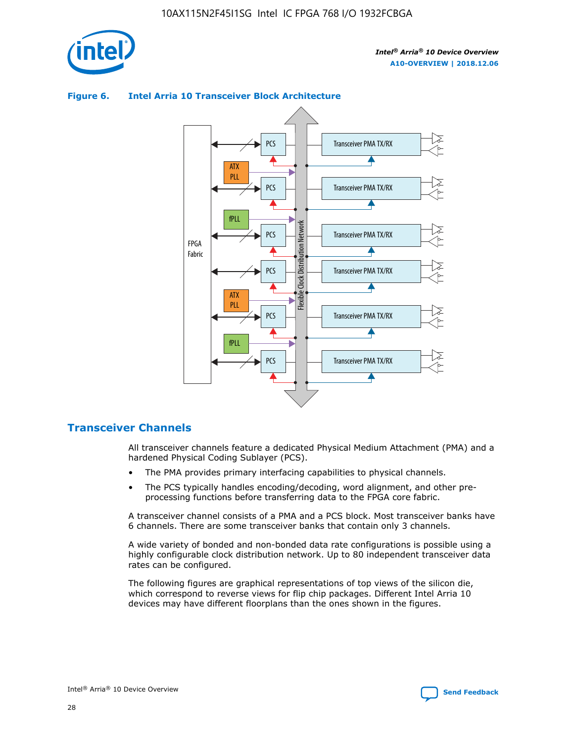



## **Figure 6. Intel Arria 10 Transceiver Block Architecture**

## **Transceiver Channels**

All transceiver channels feature a dedicated Physical Medium Attachment (PMA) and a hardened Physical Coding Sublayer (PCS).

- The PMA provides primary interfacing capabilities to physical channels.
- The PCS typically handles encoding/decoding, word alignment, and other preprocessing functions before transferring data to the FPGA core fabric.

A transceiver channel consists of a PMA and a PCS block. Most transceiver banks have 6 channels. There are some transceiver banks that contain only 3 channels.

A wide variety of bonded and non-bonded data rate configurations is possible using a highly configurable clock distribution network. Up to 80 independent transceiver data rates can be configured.

The following figures are graphical representations of top views of the silicon die, which correspond to reverse views for flip chip packages. Different Intel Arria 10 devices may have different floorplans than the ones shown in the figures.

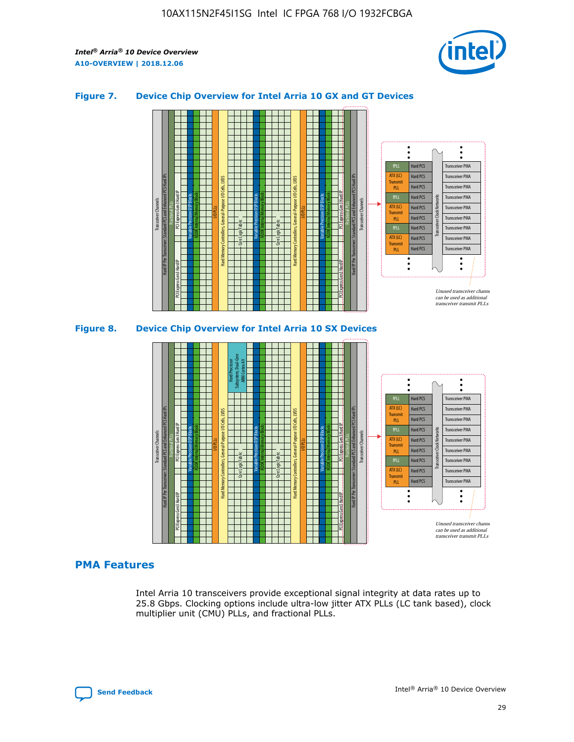

## **Figure 7. Device Chip Overview for Intel Arria 10 GX and GT Devices**





## **PMA Features**

Intel Arria 10 transceivers provide exceptional signal integrity at data rates up to 25.8 Gbps. Clocking options include ultra-low jitter ATX PLLs (LC tank based), clock multiplier unit (CMU) PLLs, and fractional PLLs.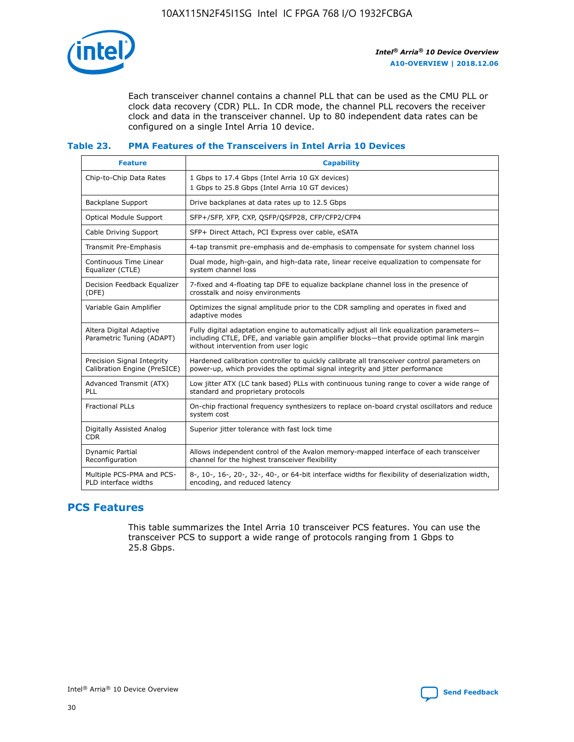

Each transceiver channel contains a channel PLL that can be used as the CMU PLL or clock data recovery (CDR) PLL. In CDR mode, the channel PLL recovers the receiver clock and data in the transceiver channel. Up to 80 independent data rates can be configured on a single Intel Arria 10 device.

## **Table 23. PMA Features of the Transceivers in Intel Arria 10 Devices**

| <b>Feature</b>                                             | <b>Capability</b>                                                                                                                                                                                                             |
|------------------------------------------------------------|-------------------------------------------------------------------------------------------------------------------------------------------------------------------------------------------------------------------------------|
| Chip-to-Chip Data Rates                                    | 1 Gbps to 17.4 Gbps (Intel Arria 10 GX devices)<br>1 Gbps to 25.8 Gbps (Intel Arria 10 GT devices)                                                                                                                            |
| Backplane Support                                          | Drive backplanes at data rates up to 12.5 Gbps                                                                                                                                                                                |
| Optical Module Support                                     | SFP+/SFP, XFP, CXP, QSFP/QSFP28, CFP/CFP2/CFP4                                                                                                                                                                                |
| Cable Driving Support                                      | SFP+ Direct Attach, PCI Express over cable, eSATA                                                                                                                                                                             |
| Transmit Pre-Emphasis                                      | 4-tap transmit pre-emphasis and de-emphasis to compensate for system channel loss                                                                                                                                             |
| Continuous Time Linear<br>Equalizer (CTLE)                 | Dual mode, high-gain, and high-data rate, linear receive equalization to compensate for<br>system channel loss                                                                                                                |
| Decision Feedback Equalizer<br>(DFE)                       | 7-fixed and 4-floating tap DFE to equalize backplane channel loss in the presence of<br>crosstalk and noisy environments                                                                                                      |
| Variable Gain Amplifier                                    | Optimizes the signal amplitude prior to the CDR sampling and operates in fixed and<br>adaptive modes                                                                                                                          |
| Altera Digital Adaptive<br>Parametric Tuning (ADAPT)       | Fully digital adaptation engine to automatically adjust all link equalization parameters-<br>including CTLE, DFE, and variable gain amplifier blocks—that provide optimal link margin<br>without intervention from user logic |
| Precision Signal Integrity<br>Calibration Engine (PreSICE) | Hardened calibration controller to quickly calibrate all transceiver control parameters on<br>power-up, which provides the optimal signal integrity and jitter performance                                                    |
| Advanced Transmit (ATX)<br><b>PLL</b>                      | Low jitter ATX (LC tank based) PLLs with continuous tuning range to cover a wide range of<br>standard and proprietary protocols                                                                                               |
| <b>Fractional PLLs</b>                                     | On-chip fractional frequency synthesizers to replace on-board crystal oscillators and reduce<br>system cost                                                                                                                   |
| Digitally Assisted Analog<br><b>CDR</b>                    | Superior jitter tolerance with fast lock time                                                                                                                                                                                 |
| Dynamic Partial<br>Reconfiguration                         | Allows independent control of the Avalon memory-mapped interface of each transceiver<br>channel for the highest transceiver flexibility                                                                                       |
| Multiple PCS-PMA and PCS-<br>PLD interface widths          | 8-, 10-, 16-, 20-, 32-, 40-, or 64-bit interface widths for flexibility of deserialization width,<br>encoding, and reduced latency                                                                                            |

## **PCS Features**

This table summarizes the Intel Arria 10 transceiver PCS features. You can use the transceiver PCS to support a wide range of protocols ranging from 1 Gbps to 25.8 Gbps.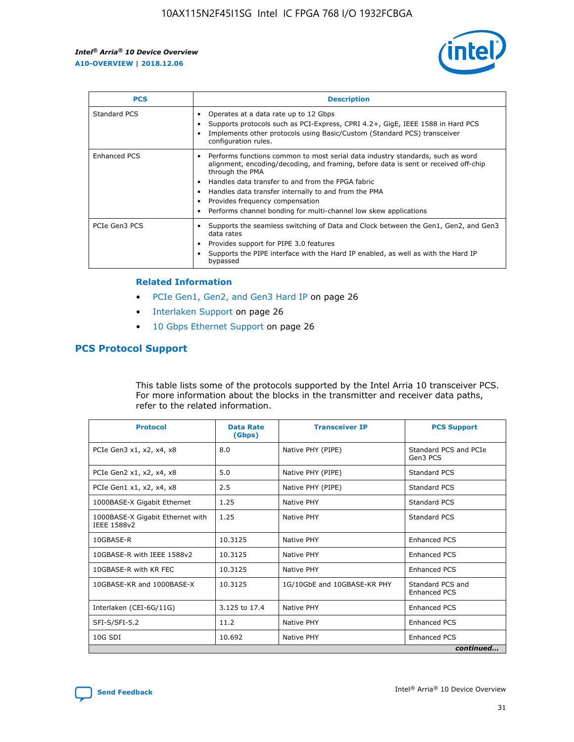

| <b>PCS</b>    | <b>Description</b>                                                                                                                                                                                                                                                                                                                                                                                                          |
|---------------|-----------------------------------------------------------------------------------------------------------------------------------------------------------------------------------------------------------------------------------------------------------------------------------------------------------------------------------------------------------------------------------------------------------------------------|
| Standard PCS  | Operates at a data rate up to 12 Gbps<br>Supports protocols such as PCI-Express, CPRI 4.2+, GigE, IEEE 1588 in Hard PCS<br>Implements other protocols using Basic/Custom (Standard PCS) transceiver<br>configuration rules.                                                                                                                                                                                                 |
| Enhanced PCS  | Performs functions common to most serial data industry standards, such as word<br>$\bullet$<br>alignment, encoding/decoding, and framing, before data is sent or received off-chip<br>through the PMA<br>• Handles data transfer to and from the FPGA fabric<br>Handles data transfer internally to and from the PMA<br>Provides frequency compensation<br>Performs channel bonding for multi-channel low skew applications |
| PCIe Gen3 PCS | Supports the seamless switching of Data and Clock between the Gen1, Gen2, and Gen3<br>data rates<br>Provides support for PIPE 3.0 features<br>Supports the PIPE interface with the Hard IP enabled, as well as with the Hard IP<br>bypassed                                                                                                                                                                                 |

#### **Related Information**

- PCIe Gen1, Gen2, and Gen3 Hard IP on page 26
- Interlaken Support on page 26
- 10 Gbps Ethernet Support on page 26

## **PCS Protocol Support**

This table lists some of the protocols supported by the Intel Arria 10 transceiver PCS. For more information about the blocks in the transmitter and receiver data paths, refer to the related information.

| <b>Protocol</b>                                 | <b>Data Rate</b><br>(Gbps) | <b>Transceiver IP</b>       | <b>PCS Support</b>                      |
|-------------------------------------------------|----------------------------|-----------------------------|-----------------------------------------|
| PCIe Gen3 x1, x2, x4, x8                        | 8.0                        | Native PHY (PIPE)           | Standard PCS and PCIe<br>Gen3 PCS       |
| PCIe Gen2 x1, x2, x4, x8                        | 5.0                        | Native PHY (PIPE)           | <b>Standard PCS</b>                     |
| PCIe Gen1 x1, x2, x4, x8                        | 2.5                        | Native PHY (PIPE)           | Standard PCS                            |
| 1000BASE-X Gigabit Ethernet                     | 1.25                       | Native PHY                  | <b>Standard PCS</b>                     |
| 1000BASE-X Gigabit Ethernet with<br>IEEE 1588v2 | 1.25                       | Native PHY                  | Standard PCS                            |
| 10GBASE-R                                       | 10.3125                    | Native PHY                  | <b>Enhanced PCS</b>                     |
| 10GBASE-R with IEEE 1588v2                      | 10.3125                    | Native PHY                  | <b>Enhanced PCS</b>                     |
| 10GBASE-R with KR FEC                           | 10.3125                    | Native PHY                  | <b>Enhanced PCS</b>                     |
| 10GBASE-KR and 1000BASE-X                       | 10.3125                    | 1G/10GbE and 10GBASE-KR PHY | Standard PCS and<br><b>Enhanced PCS</b> |
| Interlaken (CEI-6G/11G)                         | 3.125 to 17.4              | Native PHY                  | <b>Enhanced PCS</b>                     |
| SFI-S/SFI-5.2                                   | 11.2                       | Native PHY                  | <b>Enhanced PCS</b>                     |
| 10G SDI                                         | 10.692                     | Native PHY                  | <b>Enhanced PCS</b>                     |
|                                                 |                            |                             | continued                               |

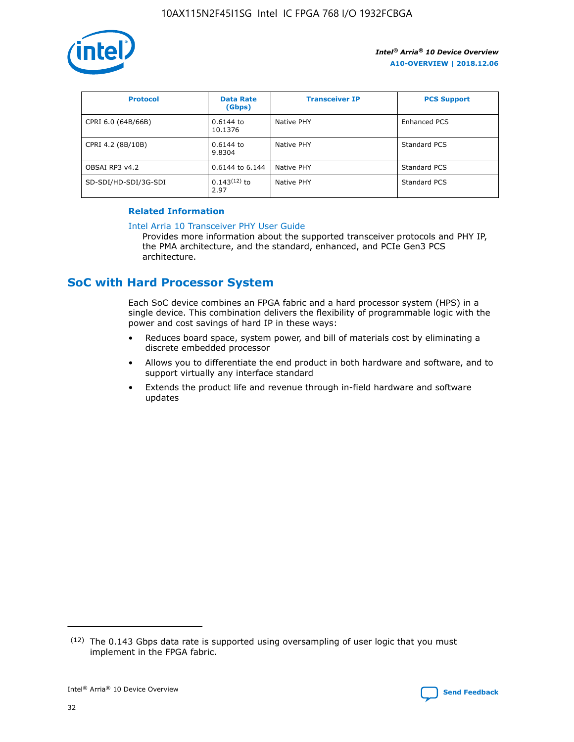

| <b>Protocol</b>      | <b>Data Rate</b><br>(Gbps) | <b>Transceiver IP</b> | <b>PCS Support</b> |
|----------------------|----------------------------|-----------------------|--------------------|
| CPRI 6.0 (64B/66B)   | 0.6144 to<br>10.1376       | Native PHY            | Enhanced PCS       |
| CPRI 4.2 (8B/10B)    | 0.6144 to<br>9.8304        | Native PHY            | Standard PCS       |
| OBSAI RP3 v4.2       | 0.6144 to 6.144            | Native PHY            | Standard PCS       |
| SD-SDI/HD-SDI/3G-SDI | $0.143(12)$ to<br>2.97     | Native PHY            | Standard PCS       |

## **Related Information**

#### [Intel Arria 10 Transceiver PHY User Guide](https://www.intel.com/content/www/us/en/programmable/documentation/nik1398707230472.html#nik1398707091164)

Provides more information about the supported transceiver protocols and PHY IP, the PMA architecture, and the standard, enhanced, and PCIe Gen3 PCS architecture.

# **SoC with Hard Processor System**

Each SoC device combines an FPGA fabric and a hard processor system (HPS) in a single device. This combination delivers the flexibility of programmable logic with the power and cost savings of hard IP in these ways:

- Reduces board space, system power, and bill of materials cost by eliminating a discrete embedded processor
- Allows you to differentiate the end product in both hardware and software, and to support virtually any interface standard
- Extends the product life and revenue through in-field hardware and software updates

 $(12)$  The 0.143 Gbps data rate is supported using oversampling of user logic that you must implement in the FPGA fabric.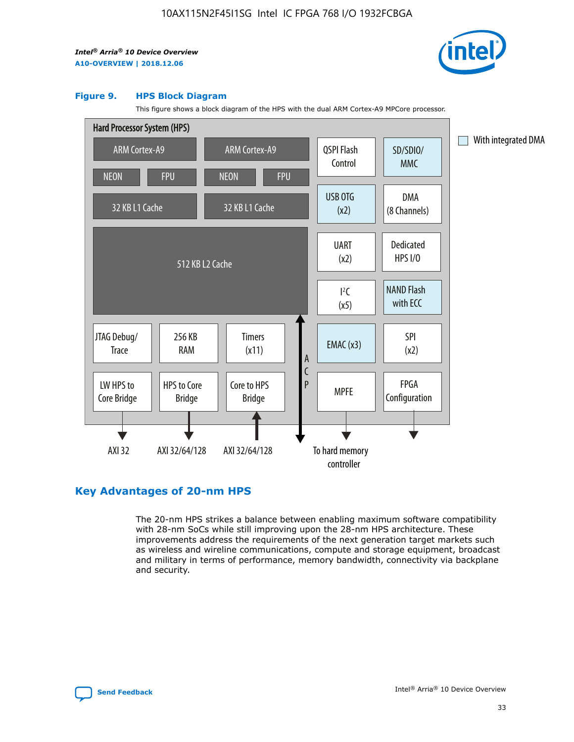

#### **Figure 9. HPS Block Diagram**

This figure shows a block diagram of the HPS with the dual ARM Cortex-A9 MPCore processor.



## **Key Advantages of 20-nm HPS**

The 20-nm HPS strikes a balance between enabling maximum software compatibility with 28-nm SoCs while still improving upon the 28-nm HPS architecture. These improvements address the requirements of the next generation target markets such as wireless and wireline communications, compute and storage equipment, broadcast and military in terms of performance, memory bandwidth, connectivity via backplane and security.

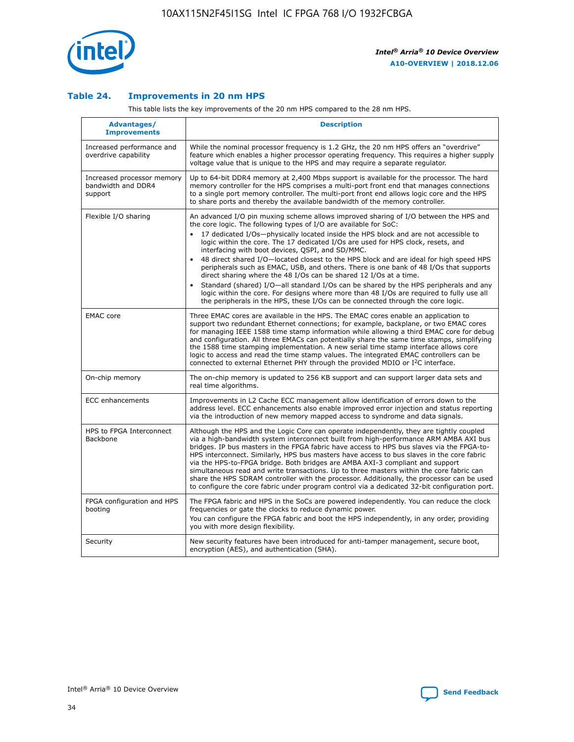

## **Table 24. Improvements in 20 nm HPS**

This table lists the key improvements of the 20 nm HPS compared to the 28 nm HPS.

| Advantages/<br><b>Improvements</b>                          | <b>Description</b>                                                                                                                                                                                                                                                                                                                                                                                                                                                                                                                                                                                                                                                                                                                                                                                                                                                                                                      |
|-------------------------------------------------------------|-------------------------------------------------------------------------------------------------------------------------------------------------------------------------------------------------------------------------------------------------------------------------------------------------------------------------------------------------------------------------------------------------------------------------------------------------------------------------------------------------------------------------------------------------------------------------------------------------------------------------------------------------------------------------------------------------------------------------------------------------------------------------------------------------------------------------------------------------------------------------------------------------------------------------|
| Increased performance and<br>overdrive capability           | While the nominal processor frequency is 1.2 GHz, the 20 nm HPS offers an "overdrive"<br>feature which enables a higher processor operating frequency. This requires a higher supply<br>voltage value that is unique to the HPS and may require a separate regulator.                                                                                                                                                                                                                                                                                                                                                                                                                                                                                                                                                                                                                                                   |
| Increased processor memory<br>bandwidth and DDR4<br>support | Up to 64-bit DDR4 memory at 2,400 Mbps support is available for the processor. The hard<br>memory controller for the HPS comprises a multi-port front end that manages connections<br>to a single port memory controller. The multi-port front end allows logic core and the HPS<br>to share ports and thereby the available bandwidth of the memory controller.                                                                                                                                                                                                                                                                                                                                                                                                                                                                                                                                                        |
| Flexible I/O sharing                                        | An advanced I/O pin muxing scheme allows improved sharing of I/O between the HPS and<br>the core logic. The following types of I/O are available for SoC:<br>17 dedicated I/Os-physically located inside the HPS block and are not accessible to<br>logic within the core. The 17 dedicated I/Os are used for HPS clock, resets, and<br>interfacing with boot devices, QSPI, and SD/MMC.<br>48 direct shared I/O-located closest to the HPS block and are ideal for high speed HPS<br>peripherals such as EMAC, USB, and others. There is one bank of 48 I/Os that supports<br>direct sharing where the 48 I/Os can be shared 12 I/Os at a time.<br>Standard (shared) I/O—all standard I/Os can be shared by the HPS peripherals and any<br>logic within the core. For designs where more than 48 I/Os are required to fully use all<br>the peripherals in the HPS, these I/Os can be connected through the core logic. |
| <b>EMAC</b> core                                            | Three EMAC cores are available in the HPS. The EMAC cores enable an application to<br>support two redundant Ethernet connections; for example, backplane, or two EMAC cores<br>for managing IEEE 1588 time stamp information while allowing a third EMAC core for debug<br>and configuration. All three EMACs can potentially share the same time stamps, simplifying<br>the 1588 time stamping implementation. A new serial time stamp interface allows core<br>logic to access and read the time stamp values. The integrated EMAC controllers can be<br>connected to external Ethernet PHY through the provided MDIO or I <sup>2</sup> C interface.                                                                                                                                                                                                                                                                  |
| On-chip memory                                              | The on-chip memory is updated to 256 KB support and can support larger data sets and<br>real time algorithms.                                                                                                                                                                                                                                                                                                                                                                                                                                                                                                                                                                                                                                                                                                                                                                                                           |
| <b>ECC</b> enhancements                                     | Improvements in L2 Cache ECC management allow identification of errors down to the<br>address level. ECC enhancements also enable improved error injection and status reporting<br>via the introduction of new memory mapped access to syndrome and data signals.                                                                                                                                                                                                                                                                                                                                                                                                                                                                                                                                                                                                                                                       |
| HPS to FPGA Interconnect<br>Backbone                        | Although the HPS and the Logic Core can operate independently, they are tightly coupled<br>via a high-bandwidth system interconnect built from high-performance ARM AMBA AXI bus<br>bridges. IP bus masters in the FPGA fabric have access to HPS bus slaves via the FPGA-to-<br>HPS interconnect. Similarly, HPS bus masters have access to bus slaves in the core fabric<br>via the HPS-to-FPGA bridge. Both bridges are AMBA AXI-3 compliant and support<br>simultaneous read and write transactions. Up to three masters within the core fabric can<br>share the HPS SDRAM controller with the processor. Additionally, the processor can be used<br>to configure the core fabric under program control via a dedicated 32-bit configuration port.                                                                                                                                                                  |
| FPGA configuration and HPS<br>booting                       | The FPGA fabric and HPS in the SoCs are powered independently. You can reduce the clock<br>frequencies or gate the clocks to reduce dynamic power.<br>You can configure the FPGA fabric and boot the HPS independently, in any order, providing<br>you with more design flexibility.                                                                                                                                                                                                                                                                                                                                                                                                                                                                                                                                                                                                                                    |
| Security                                                    | New security features have been introduced for anti-tamper management, secure boot,<br>encryption (AES), and authentication (SHA).                                                                                                                                                                                                                                                                                                                                                                                                                                                                                                                                                                                                                                                                                                                                                                                      |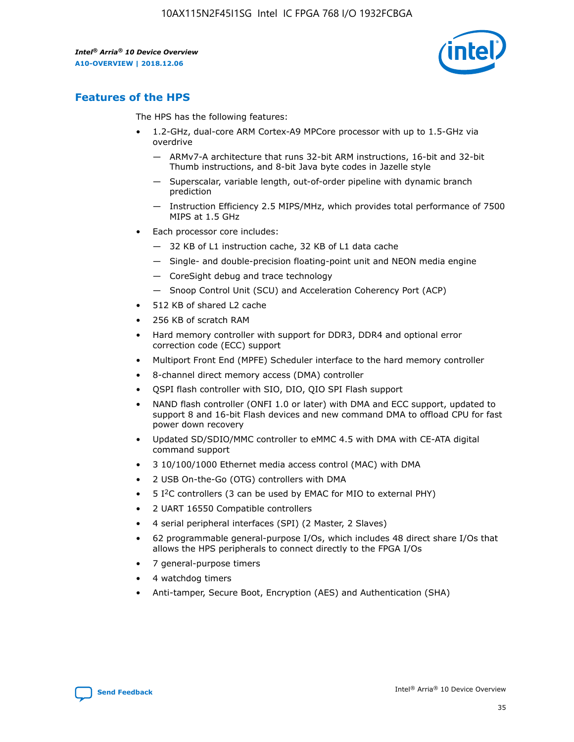

## **Features of the HPS**

The HPS has the following features:

- 1.2-GHz, dual-core ARM Cortex-A9 MPCore processor with up to 1.5-GHz via overdrive
	- ARMv7-A architecture that runs 32-bit ARM instructions, 16-bit and 32-bit Thumb instructions, and 8-bit Java byte codes in Jazelle style
	- Superscalar, variable length, out-of-order pipeline with dynamic branch prediction
	- Instruction Efficiency 2.5 MIPS/MHz, which provides total performance of 7500 MIPS at 1.5 GHz
- Each processor core includes:
	- 32 KB of L1 instruction cache, 32 KB of L1 data cache
	- Single- and double-precision floating-point unit and NEON media engine
	- CoreSight debug and trace technology
	- Snoop Control Unit (SCU) and Acceleration Coherency Port (ACP)
- 512 KB of shared L2 cache
- 256 KB of scratch RAM
- Hard memory controller with support for DDR3, DDR4 and optional error correction code (ECC) support
- Multiport Front End (MPFE) Scheduler interface to the hard memory controller
- 8-channel direct memory access (DMA) controller
- QSPI flash controller with SIO, DIO, QIO SPI Flash support
- NAND flash controller (ONFI 1.0 or later) with DMA and ECC support, updated to support 8 and 16-bit Flash devices and new command DMA to offload CPU for fast power down recovery
- Updated SD/SDIO/MMC controller to eMMC 4.5 with DMA with CE-ATA digital command support
- 3 10/100/1000 Ethernet media access control (MAC) with DMA
- 2 USB On-the-Go (OTG) controllers with DMA
- $\bullet$  5 I<sup>2</sup>C controllers (3 can be used by EMAC for MIO to external PHY)
- 2 UART 16550 Compatible controllers
- 4 serial peripheral interfaces (SPI) (2 Master, 2 Slaves)
- 62 programmable general-purpose I/Os, which includes 48 direct share I/Os that allows the HPS peripherals to connect directly to the FPGA I/Os
- 7 general-purpose timers
- 4 watchdog timers
- Anti-tamper, Secure Boot, Encryption (AES) and Authentication (SHA)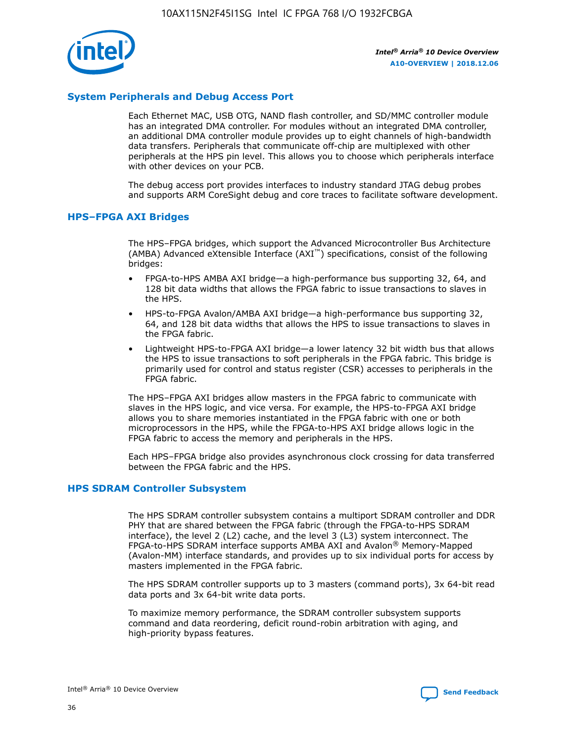

## **System Peripherals and Debug Access Port**

Each Ethernet MAC, USB OTG, NAND flash controller, and SD/MMC controller module has an integrated DMA controller. For modules without an integrated DMA controller, an additional DMA controller module provides up to eight channels of high-bandwidth data transfers. Peripherals that communicate off-chip are multiplexed with other peripherals at the HPS pin level. This allows you to choose which peripherals interface with other devices on your PCB.

The debug access port provides interfaces to industry standard JTAG debug probes and supports ARM CoreSight debug and core traces to facilitate software development.

## **HPS–FPGA AXI Bridges**

The HPS–FPGA bridges, which support the Advanced Microcontroller Bus Architecture (AMBA) Advanced eXtensible Interface (AXI™) specifications, consist of the following bridges:

- FPGA-to-HPS AMBA AXI bridge—a high-performance bus supporting 32, 64, and 128 bit data widths that allows the FPGA fabric to issue transactions to slaves in the HPS.
- HPS-to-FPGA Avalon/AMBA AXI bridge—a high-performance bus supporting 32, 64, and 128 bit data widths that allows the HPS to issue transactions to slaves in the FPGA fabric.
- Lightweight HPS-to-FPGA AXI bridge—a lower latency 32 bit width bus that allows the HPS to issue transactions to soft peripherals in the FPGA fabric. This bridge is primarily used for control and status register (CSR) accesses to peripherals in the FPGA fabric.

The HPS–FPGA AXI bridges allow masters in the FPGA fabric to communicate with slaves in the HPS logic, and vice versa. For example, the HPS-to-FPGA AXI bridge allows you to share memories instantiated in the FPGA fabric with one or both microprocessors in the HPS, while the FPGA-to-HPS AXI bridge allows logic in the FPGA fabric to access the memory and peripherals in the HPS.

Each HPS–FPGA bridge also provides asynchronous clock crossing for data transferred between the FPGA fabric and the HPS.

#### **HPS SDRAM Controller Subsystem**

The HPS SDRAM controller subsystem contains a multiport SDRAM controller and DDR PHY that are shared between the FPGA fabric (through the FPGA-to-HPS SDRAM interface), the level 2 (L2) cache, and the level 3 (L3) system interconnect. The FPGA-to-HPS SDRAM interface supports AMBA AXI and Avalon® Memory-Mapped (Avalon-MM) interface standards, and provides up to six individual ports for access by masters implemented in the FPGA fabric.

The HPS SDRAM controller supports up to 3 masters (command ports), 3x 64-bit read data ports and 3x 64-bit write data ports.

To maximize memory performance, the SDRAM controller subsystem supports command and data reordering, deficit round-robin arbitration with aging, and high-priority bypass features.

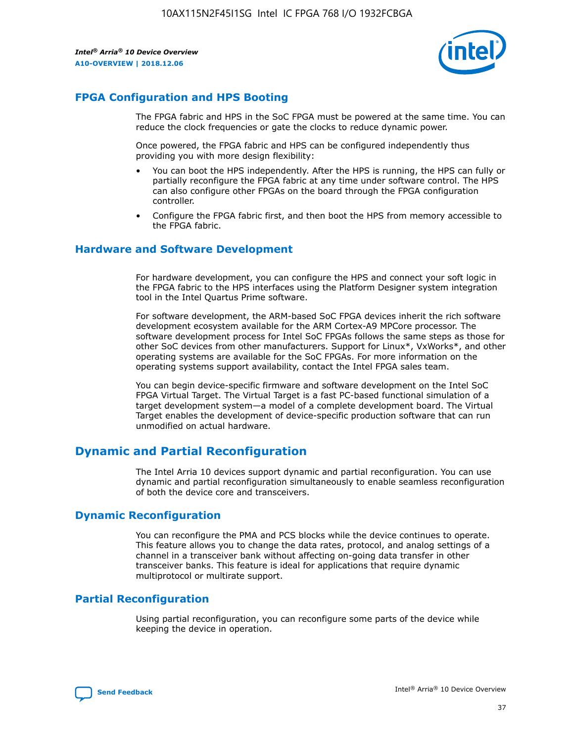

## **FPGA Configuration and HPS Booting**

The FPGA fabric and HPS in the SoC FPGA must be powered at the same time. You can reduce the clock frequencies or gate the clocks to reduce dynamic power.

Once powered, the FPGA fabric and HPS can be configured independently thus providing you with more design flexibility:

- You can boot the HPS independently. After the HPS is running, the HPS can fully or partially reconfigure the FPGA fabric at any time under software control. The HPS can also configure other FPGAs on the board through the FPGA configuration controller.
- Configure the FPGA fabric first, and then boot the HPS from memory accessible to the FPGA fabric.

## **Hardware and Software Development**

For hardware development, you can configure the HPS and connect your soft logic in the FPGA fabric to the HPS interfaces using the Platform Designer system integration tool in the Intel Quartus Prime software.

For software development, the ARM-based SoC FPGA devices inherit the rich software development ecosystem available for the ARM Cortex-A9 MPCore processor. The software development process for Intel SoC FPGAs follows the same steps as those for other SoC devices from other manufacturers. Support for Linux\*, VxWorks\*, and other operating systems are available for the SoC FPGAs. For more information on the operating systems support availability, contact the Intel FPGA sales team.

You can begin device-specific firmware and software development on the Intel SoC FPGA Virtual Target. The Virtual Target is a fast PC-based functional simulation of a target development system—a model of a complete development board. The Virtual Target enables the development of device-specific production software that can run unmodified on actual hardware.

## **Dynamic and Partial Reconfiguration**

The Intel Arria 10 devices support dynamic and partial reconfiguration. You can use dynamic and partial reconfiguration simultaneously to enable seamless reconfiguration of both the device core and transceivers.

## **Dynamic Reconfiguration**

You can reconfigure the PMA and PCS blocks while the device continues to operate. This feature allows you to change the data rates, protocol, and analog settings of a channel in a transceiver bank without affecting on-going data transfer in other transceiver banks. This feature is ideal for applications that require dynamic multiprotocol or multirate support.

## **Partial Reconfiguration**

Using partial reconfiguration, you can reconfigure some parts of the device while keeping the device in operation.

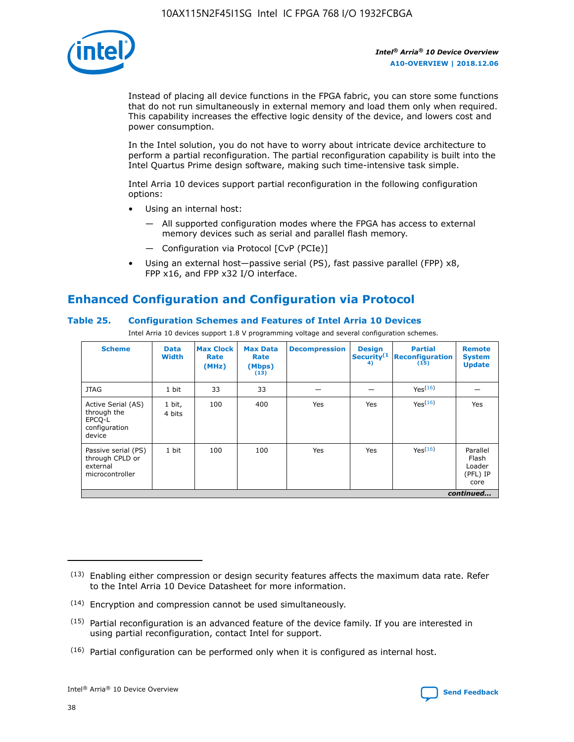

Instead of placing all device functions in the FPGA fabric, you can store some functions that do not run simultaneously in external memory and load them only when required. This capability increases the effective logic density of the device, and lowers cost and power consumption.

In the Intel solution, you do not have to worry about intricate device architecture to perform a partial reconfiguration. The partial reconfiguration capability is built into the Intel Quartus Prime design software, making such time-intensive task simple.

Intel Arria 10 devices support partial reconfiguration in the following configuration options:

- Using an internal host:
	- All supported configuration modes where the FPGA has access to external memory devices such as serial and parallel flash memory.
	- Configuration via Protocol [CvP (PCIe)]
- Using an external host—passive serial (PS), fast passive parallel (FPP) x8, FPP x16, and FPP x32 I/O interface.

# **Enhanced Configuration and Configuration via Protocol**

## **Table 25. Configuration Schemes and Features of Intel Arria 10 Devices**

Intel Arria 10 devices support 1.8 V programming voltage and several configuration schemes.

| <b>Scheme</b>                                                          | <b>Data</b><br><b>Width</b> | <b>Max Clock</b><br>Rate<br>(MHz) | <b>Max Data</b><br>Rate<br>(Mbps)<br>(13) | <b>Decompression</b> | <b>Design</b><br>Security <sup>(1</sup><br>4) | <b>Partial</b><br><b>Reconfiguration</b><br>(15) | <b>Remote</b><br><b>System</b><br><b>Update</b> |
|------------------------------------------------------------------------|-----------------------------|-----------------------------------|-------------------------------------------|----------------------|-----------------------------------------------|--------------------------------------------------|-------------------------------------------------|
| <b>JTAG</b>                                                            | 1 bit                       | 33                                | 33                                        |                      |                                               | Yes(16)                                          |                                                 |
| Active Serial (AS)<br>through the<br>EPCO-L<br>configuration<br>device | 1 bit,<br>4 bits            | 100                               | 400                                       | Yes                  | Yes                                           | $Y_{PS}(16)$                                     | Yes                                             |
| Passive serial (PS)<br>through CPLD or<br>external<br>microcontroller  | 1 bit                       | 100                               | 100                                       | Yes                  | Yes                                           | Yes(16)                                          | Parallel<br>Flash<br>Loader<br>(PFL) IP<br>core |
|                                                                        |                             |                                   |                                           |                      |                                               |                                                  | continued                                       |

<sup>(13)</sup> Enabling either compression or design security features affects the maximum data rate. Refer to the Intel Arria 10 Device Datasheet for more information.

<sup>(14)</sup> Encryption and compression cannot be used simultaneously.

 $(15)$  Partial reconfiguration is an advanced feature of the device family. If you are interested in using partial reconfiguration, contact Intel for support.

 $(16)$  Partial configuration can be performed only when it is configured as internal host.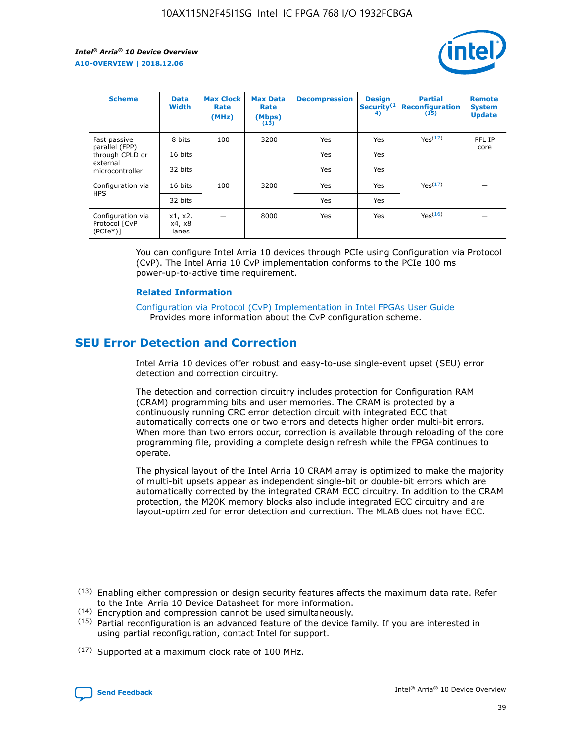

| <b>Scheme</b>                                   | <b>Data</b><br><b>Width</b> | <b>Max Clock</b><br>Rate<br>(MHz) | <b>Max Data</b><br>Rate<br>(Mbps)<br>(13) | <b>Decompression</b> | <b>Design</b><br>Security <sup>(1</sup><br>4) | <b>Partial</b><br><b>Reconfiguration</b><br>(15) | <b>Remote</b><br><b>System</b><br><b>Update</b> |
|-------------------------------------------------|-----------------------------|-----------------------------------|-------------------------------------------|----------------------|-----------------------------------------------|--------------------------------------------------|-------------------------------------------------|
| Fast passive                                    | 8 bits                      | 100                               | 3200                                      | Yes                  | Yes                                           | Yes(17)                                          | PFL IP                                          |
| parallel (FPP)<br>through CPLD or               | 16 bits                     |                                   |                                           | Yes                  | Yes                                           |                                                  | core                                            |
| external<br>microcontroller                     | 32 bits                     |                                   |                                           | Yes                  | Yes                                           |                                                  |                                                 |
| Configuration via                               | 16 bits                     | 100                               | 3200                                      | Yes                  | Yes                                           | Yes <sup>(17)</sup>                              |                                                 |
| <b>HPS</b>                                      | 32 bits                     |                                   |                                           | Yes                  | Yes                                           |                                                  |                                                 |
| Configuration via<br>Protocol [CvP<br>$(PCIe*)$ | x1, x2,<br>x4, x8<br>lanes  |                                   | 8000                                      | Yes                  | Yes                                           | Yes(16)                                          |                                                 |

You can configure Intel Arria 10 devices through PCIe using Configuration via Protocol (CvP). The Intel Arria 10 CvP implementation conforms to the PCIe 100 ms power-up-to-active time requirement.

#### **Related Information**

[Configuration via Protocol \(CvP\) Implementation in Intel FPGAs User Guide](https://www.intel.com/content/www/us/en/programmable/documentation/dsu1441819344145.html#dsu1442269728522) Provides more information about the CvP configuration scheme.

# **SEU Error Detection and Correction**

Intel Arria 10 devices offer robust and easy-to-use single-event upset (SEU) error detection and correction circuitry.

The detection and correction circuitry includes protection for Configuration RAM (CRAM) programming bits and user memories. The CRAM is protected by a continuously running CRC error detection circuit with integrated ECC that automatically corrects one or two errors and detects higher order multi-bit errors. When more than two errors occur, correction is available through reloading of the core programming file, providing a complete design refresh while the FPGA continues to operate.

The physical layout of the Intel Arria 10 CRAM array is optimized to make the majority of multi-bit upsets appear as independent single-bit or double-bit errors which are automatically corrected by the integrated CRAM ECC circuitry. In addition to the CRAM protection, the M20K memory blocks also include integrated ECC circuitry and are layout-optimized for error detection and correction. The MLAB does not have ECC.

(14) Encryption and compression cannot be used simultaneously.

<sup>(17)</sup> Supported at a maximum clock rate of 100 MHz.



 $(13)$  Enabling either compression or design security features affects the maximum data rate. Refer to the Intel Arria 10 Device Datasheet for more information.

 $(15)$  Partial reconfiguration is an advanced feature of the device family. If you are interested in using partial reconfiguration, contact Intel for support.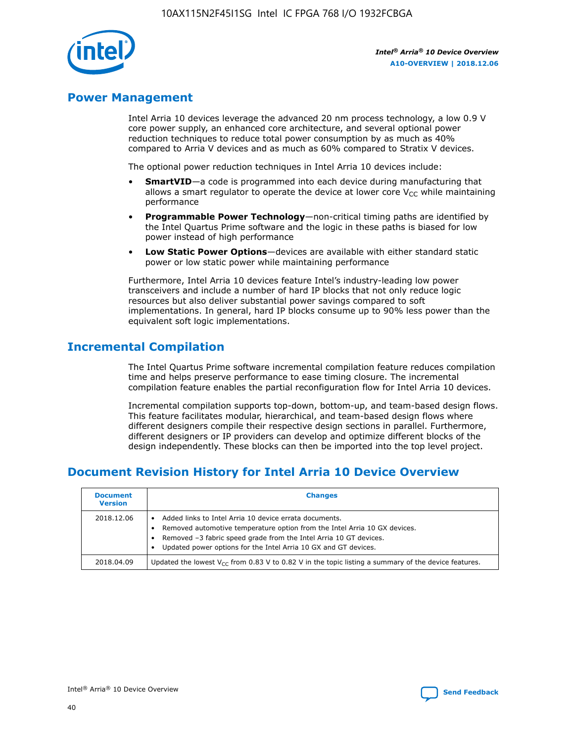

## **Power Management**

Intel Arria 10 devices leverage the advanced 20 nm process technology, a low 0.9 V core power supply, an enhanced core architecture, and several optional power reduction techniques to reduce total power consumption by as much as 40% compared to Arria V devices and as much as 60% compared to Stratix V devices.

The optional power reduction techniques in Intel Arria 10 devices include:

- **SmartVID**—a code is programmed into each device during manufacturing that allows a smart regulator to operate the device at lower core  $V_{CC}$  while maintaining performance
- **Programmable Power Technology**—non-critical timing paths are identified by the Intel Quartus Prime software and the logic in these paths is biased for low power instead of high performance
- **Low Static Power Options**—devices are available with either standard static power or low static power while maintaining performance

Furthermore, Intel Arria 10 devices feature Intel's industry-leading low power transceivers and include a number of hard IP blocks that not only reduce logic resources but also deliver substantial power savings compared to soft implementations. In general, hard IP blocks consume up to 90% less power than the equivalent soft logic implementations.

# **Incremental Compilation**

The Intel Quartus Prime software incremental compilation feature reduces compilation time and helps preserve performance to ease timing closure. The incremental compilation feature enables the partial reconfiguration flow for Intel Arria 10 devices.

Incremental compilation supports top-down, bottom-up, and team-based design flows. This feature facilitates modular, hierarchical, and team-based design flows where different designers compile their respective design sections in parallel. Furthermore, different designers or IP providers can develop and optimize different blocks of the design independently. These blocks can then be imported into the top level project.

# **Document Revision History for Intel Arria 10 Device Overview**

| <b>Document</b><br><b>Version</b> | <b>Changes</b>                                                                                                                                                                                                                                                              |
|-----------------------------------|-----------------------------------------------------------------------------------------------------------------------------------------------------------------------------------------------------------------------------------------------------------------------------|
| 2018.12.06                        | Added links to Intel Arria 10 device errata documents.<br>Removed automotive temperature option from the Intel Arria 10 GX devices.<br>Removed -3 fabric speed grade from the Intel Arria 10 GT devices.<br>Updated power options for the Intel Arria 10 GX and GT devices. |
| 2018.04.09                        | Updated the lowest $V_{CC}$ from 0.83 V to 0.82 V in the topic listing a summary of the device features.                                                                                                                                                                    |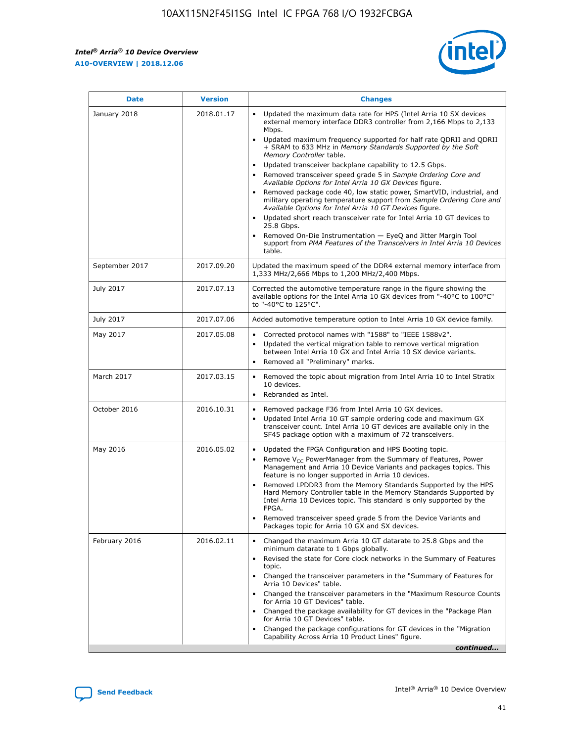*Intel® Arria® 10 Device Overview* **A10-OVERVIEW | 2018.12.06**



| <b>Date</b>    | <b>Version</b> | <b>Changes</b>                                                                                                                                                                                                                                                                                                                                                                                                                                                                                                                                                                                                                                                                                                                                                                                                                                                                                                                                                            |
|----------------|----------------|---------------------------------------------------------------------------------------------------------------------------------------------------------------------------------------------------------------------------------------------------------------------------------------------------------------------------------------------------------------------------------------------------------------------------------------------------------------------------------------------------------------------------------------------------------------------------------------------------------------------------------------------------------------------------------------------------------------------------------------------------------------------------------------------------------------------------------------------------------------------------------------------------------------------------------------------------------------------------|
| January 2018   | 2018.01.17     | Updated the maximum data rate for HPS (Intel Arria 10 SX devices<br>external memory interface DDR3 controller from 2,166 Mbps to 2,133<br>Mbps.<br>Updated maximum frequency supported for half rate QDRII and QDRII<br>+ SRAM to 633 MHz in Memory Standards Supported by the Soft<br>Memory Controller table.<br>Updated transceiver backplane capability to 12.5 Gbps.<br>$\bullet$<br>Removed transceiver speed grade 5 in Sample Ordering Core and<br>Available Options for Intel Arria 10 GX Devices figure.<br>Removed package code 40, low static power, SmartVID, industrial, and<br>military operating temperature support from Sample Ordering Core and<br>Available Options for Intel Arria 10 GT Devices figure.<br>Updated short reach transceiver rate for Intel Arria 10 GT devices to<br>25.8 Gbps.<br>Removed On-Die Instrumentation - EyeQ and Jitter Margin Tool<br>support from PMA Features of the Transceivers in Intel Arria 10 Devices<br>table. |
| September 2017 | 2017.09.20     | Updated the maximum speed of the DDR4 external memory interface from<br>1,333 MHz/2,666 Mbps to 1,200 MHz/2,400 Mbps.                                                                                                                                                                                                                                                                                                                                                                                                                                                                                                                                                                                                                                                                                                                                                                                                                                                     |
| July 2017      | 2017.07.13     | Corrected the automotive temperature range in the figure showing the<br>available options for the Intel Arria 10 GX devices from "-40°C to 100°C"<br>to "-40°C to 125°C".                                                                                                                                                                                                                                                                                                                                                                                                                                                                                                                                                                                                                                                                                                                                                                                                 |
| July 2017      | 2017.07.06     | Added automotive temperature option to Intel Arria 10 GX device family.                                                                                                                                                                                                                                                                                                                                                                                                                                                                                                                                                                                                                                                                                                                                                                                                                                                                                                   |
| May 2017       | 2017.05.08     | Corrected protocol names with "1588" to "IEEE 1588v2".<br>$\bullet$<br>Updated the vertical migration table to remove vertical migration<br>$\bullet$<br>between Intel Arria 10 GX and Intel Arria 10 SX device variants.<br>Removed all "Preliminary" marks.<br>$\bullet$                                                                                                                                                                                                                                                                                                                                                                                                                                                                                                                                                                                                                                                                                                |
| March 2017     | 2017.03.15     | Removed the topic about migration from Intel Arria 10 to Intel Stratix<br>10 devices.<br>Rebranded as Intel.<br>$\bullet$                                                                                                                                                                                                                                                                                                                                                                                                                                                                                                                                                                                                                                                                                                                                                                                                                                                 |
| October 2016   | 2016.10.31     | Removed package F36 from Intel Arria 10 GX devices.<br>Updated Intel Arria 10 GT sample ordering code and maximum GX<br>$\bullet$<br>transceiver count. Intel Arria 10 GT devices are available only in the<br>SF45 package option with a maximum of 72 transceivers.                                                                                                                                                                                                                                                                                                                                                                                                                                                                                                                                                                                                                                                                                                     |
| May 2016       | 2016.05.02     | Updated the FPGA Configuration and HPS Booting topic.<br>$\bullet$<br>Remove V <sub>CC</sub> PowerManager from the Summary of Features, Power<br>Management and Arria 10 Device Variants and packages topics. This<br>feature is no longer supported in Arria 10 devices.<br>Removed LPDDR3 from the Memory Standards Supported by the HPS<br>Hard Memory Controller table in the Memory Standards Supported by<br>Intel Arria 10 Devices topic. This standard is only supported by the<br>FPGA.<br>Removed transceiver speed grade 5 from the Device Variants and<br>Packages topic for Arria 10 GX and SX devices.                                                                                                                                                                                                                                                                                                                                                      |
| February 2016  | 2016.02.11     | Changed the maximum Arria 10 GT datarate to 25.8 Gbps and the<br>minimum datarate to 1 Gbps globally.<br>Revised the state for Core clock networks in the Summary of Features<br>$\bullet$<br>topic.<br>Changed the transceiver parameters in the "Summary of Features for<br>$\bullet$<br>Arria 10 Devices" table.<br>• Changed the transceiver parameters in the "Maximum Resource Counts<br>for Arria 10 GT Devices" table.<br>Changed the package availability for GT devices in the "Package Plan<br>for Arria 10 GT Devices" table.<br>Changed the package configurations for GT devices in the "Migration"<br>Capability Across Arria 10 Product Lines" figure.<br>continued                                                                                                                                                                                                                                                                                       |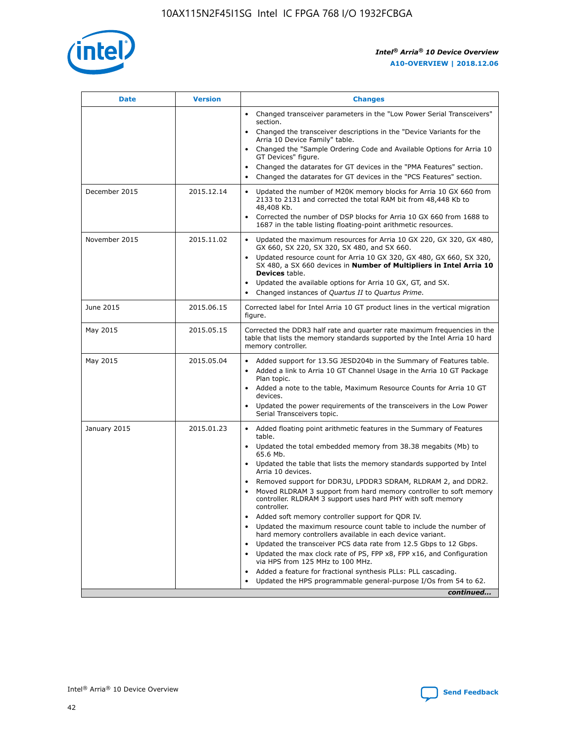

| <b>Date</b>   | <b>Version</b> | <b>Changes</b>                                                                                                                                                               |
|---------------|----------------|------------------------------------------------------------------------------------------------------------------------------------------------------------------------------|
|               |                | • Changed transceiver parameters in the "Low Power Serial Transceivers"<br>section.                                                                                          |
|               |                | • Changed the transceiver descriptions in the "Device Variants for the<br>Arria 10 Device Family" table.                                                                     |
|               |                | • Changed the "Sample Ordering Code and Available Options for Arria 10<br>GT Devices" figure.                                                                                |
|               |                | Changed the datarates for GT devices in the "PMA Features" section.                                                                                                          |
|               |                | Changed the datarates for GT devices in the "PCS Features" section.<br>$\bullet$                                                                                             |
| December 2015 | 2015.12.14     | Updated the number of M20K memory blocks for Arria 10 GX 660 from<br>2133 to 2131 and corrected the total RAM bit from 48,448 Kb to<br>48,408 Kb.                            |
|               |                | • Corrected the number of DSP blocks for Arria 10 GX 660 from 1688 to<br>1687 in the table listing floating-point arithmetic resources.                                      |
| November 2015 | 2015.11.02     | Updated the maximum resources for Arria 10 GX 220, GX 320, GX 480,<br>$\bullet$<br>GX 660, SX 220, SX 320, SX 480, and SX 660.                                               |
|               |                | • Updated resource count for Arria 10 GX 320, GX 480, GX 660, SX 320,<br>SX 480, a SX 660 devices in Number of Multipliers in Intel Arria 10<br><b>Devices</b> table.        |
|               |                | • Updated the available options for Arria 10 GX, GT, and SX.                                                                                                                 |
|               |                | • Changed instances of Quartus II to Quartus Prime.                                                                                                                          |
| June 2015     | 2015.06.15     | Corrected label for Intel Arria 10 GT product lines in the vertical migration<br>figure.                                                                                     |
| May 2015      | 2015.05.15     | Corrected the DDR3 half rate and quarter rate maximum frequencies in the<br>table that lists the memory standards supported by the Intel Arria 10 hard<br>memory controller. |
| May 2015      | 2015.05.04     | • Added support for 13.5G JESD204b in the Summary of Features table.                                                                                                         |
|               |                | Added a link to Arria 10 GT Channel Usage in the Arria 10 GT Package<br>$\bullet$<br>Plan topic.                                                                             |
|               |                | • Added a note to the table, Maximum Resource Counts for Arria 10 GT<br>devices.                                                                                             |
|               |                | • Updated the power requirements of the transceivers in the Low Power<br>Serial Transceivers topic.                                                                          |
| January 2015  | 2015.01.23     | • Added floating point arithmetic features in the Summary of Features<br>table.                                                                                              |
|               |                | • Updated the total embedded memory from 38.38 megabits (Mb) to<br>65.6 Mb.                                                                                                  |
|               |                | • Updated the table that lists the memory standards supported by Intel<br>Arria 10 devices.                                                                                  |
|               |                | • Removed support for DDR3U, LPDDR3 SDRAM, RLDRAM 2, and DDR2.                                                                                                               |
|               |                | Moved RLDRAM 3 support from hard memory controller to soft memory<br>controller. RLDRAM 3 support uses hard PHY with soft memory<br>controller.                              |
|               |                | Added soft memory controller support for QDR IV.<br>٠                                                                                                                        |
|               |                | Updated the maximum resource count table to include the number of<br>hard memory controllers available in each device variant.                                               |
|               |                | Updated the transceiver PCS data rate from 12.5 Gbps to 12 Gbps.                                                                                                             |
|               |                | Updated the max clock rate of PS, FPP x8, FPP x16, and Configuration<br>via HPS from 125 MHz to 100 MHz.                                                                     |
|               |                | Added a feature for fractional synthesis PLLs: PLL cascading.                                                                                                                |
|               |                | Updated the HPS programmable general-purpose I/Os from 54 to 62.<br>$\bullet$                                                                                                |
|               |                | continued                                                                                                                                                                    |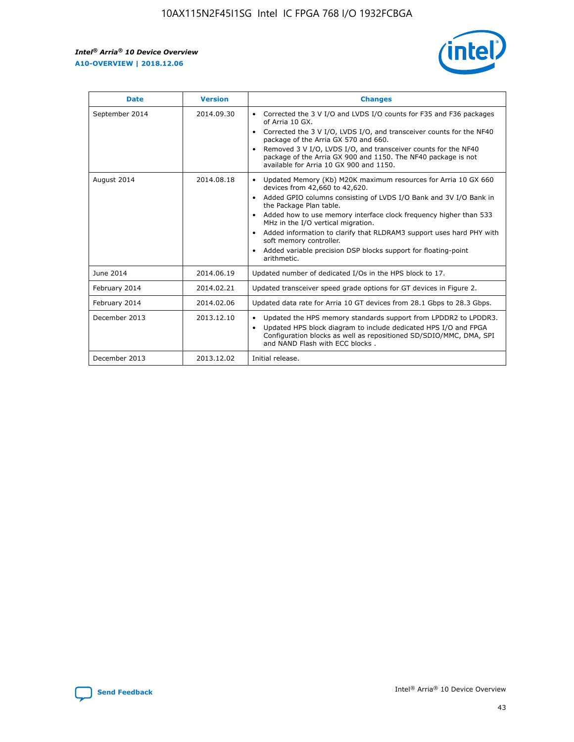r



| <b>Date</b>    | <b>Version</b> | <b>Changes</b>                                                                                                                                                                                                                                                                                                                                                                                                                                                                                                                                      |
|----------------|----------------|-----------------------------------------------------------------------------------------------------------------------------------------------------------------------------------------------------------------------------------------------------------------------------------------------------------------------------------------------------------------------------------------------------------------------------------------------------------------------------------------------------------------------------------------------------|
| September 2014 | 2014.09.30     | Corrected the 3 V I/O and LVDS I/O counts for F35 and F36 packages<br>$\bullet$<br>of Arria 10 GX.<br>Corrected the 3 V I/O, LVDS I/O, and transceiver counts for the NF40<br>$\bullet$<br>package of the Arria GX 570 and 660.<br>Removed 3 V I/O, LVDS I/O, and transceiver counts for the NF40<br>$\bullet$<br>package of the Arria GX 900 and 1150. The NF40 package is not<br>available for Arria 10 GX 900 and 1150.                                                                                                                          |
| August 2014    | 2014.08.18     | Updated Memory (Kb) M20K maximum resources for Arria 10 GX 660<br>devices from 42,660 to 42,620.<br>Added GPIO columns consisting of LVDS I/O Bank and 3V I/O Bank in<br>$\bullet$<br>the Package Plan table.<br>Added how to use memory interface clock frequency higher than 533<br>$\bullet$<br>MHz in the I/O vertical migration.<br>Added information to clarify that RLDRAM3 support uses hard PHY with<br>$\bullet$<br>soft memory controller.<br>Added variable precision DSP blocks support for floating-point<br>$\bullet$<br>arithmetic. |
| June 2014      | 2014.06.19     | Updated number of dedicated I/Os in the HPS block to 17.                                                                                                                                                                                                                                                                                                                                                                                                                                                                                            |
| February 2014  | 2014.02.21     | Updated transceiver speed grade options for GT devices in Figure 2.                                                                                                                                                                                                                                                                                                                                                                                                                                                                                 |
| February 2014  | 2014.02.06     | Updated data rate for Arria 10 GT devices from 28.1 Gbps to 28.3 Gbps.                                                                                                                                                                                                                                                                                                                                                                                                                                                                              |
| December 2013  | 2013.12.10     | Updated the HPS memory standards support from LPDDR2 to LPDDR3.<br>Updated HPS block diagram to include dedicated HPS I/O and FPGA<br>$\bullet$<br>Configuration blocks as well as repositioned SD/SDIO/MMC, DMA, SPI<br>and NAND Flash with ECC blocks.                                                                                                                                                                                                                                                                                            |
| December 2013  | 2013.12.02     | Initial release.                                                                                                                                                                                                                                                                                                                                                                                                                                                                                                                                    |